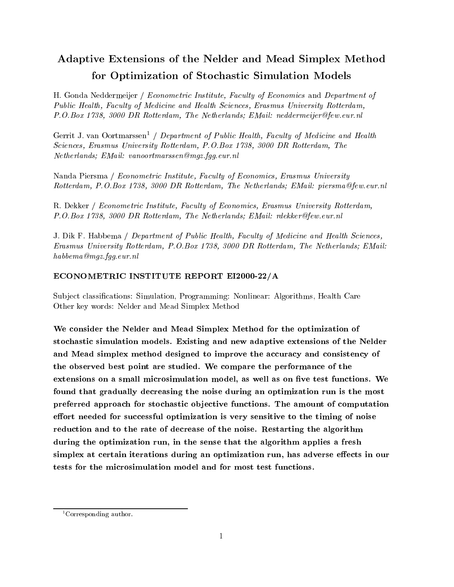# Adaptive Extensions of the Nelder and Mead Simplex Method for Optimization of Stochastic Simulation Models

H. Gonda Neddermeijer / Econometric Institute, Faculty of Economics and Department of Public Health, Faculty of Medicine and Health Sciences, Erasmus University Rotterdam, P.O.Box 1738, 3000 DR Rotterdam, The Netherlands; EMail: neddermeijer@few.eur.nl

Gerrit J. van Oortmarssen<sup>1</sup> / Department of Public Health, Faculty of Medicine and Health Sciences, Erasmus University Rotterdam, P.O.Box 1738, 3000 DR Rotterdam, The Netherlands; EMail: vanoortmarssen@mgz.fgg.eur.nl

Nanda Piersma / Econometric Institute, Faculty of Economics, Erasmus University Rotterdam, P.O.Box 1738, 3000 DR Rotterdam, The Netherlands; EMail: piersma@few.eur.nl

R. Dekker / Econometric Institute, Faculty of Economics, Erasmus University Rotterdam, P.O.Box 1738, 3000 DR Rotterdam, The Netherlands; EMail: rdekker@few.eur.nl

J. Dik F. Habbema / Department of Public Health, Faculty of Medicine and Health Sciences, Erasmus University Rotterdam, P.O.Box 1738, 3000 DR Rotterdam, The Netherlands; EMail: habbema@mgz.fgg.eur.nl

# ECONOMETRIC INSTITUTE REPORT EI2000-22/A

Sub ject classications: Simulation, Programming: Nonlinear: Algorithms, Health Care Other key words: Nelder and Mead Simplex Method

We consider the Nelder and Mead Simplex Method for the optimization of stochastic simulation models. Existing and new adaptive extensions of the Nelder and Mead simplex method designed to improve the accuracy and consistency of the observed best point are studied. We compare the performance of the extensions on a small microsimulation model, as well as on five test functions. We found that gradually decreasing the noise during an optimization run is the most preferred approach for stochastic ob jective functions. The amount of computation effort needed for successful optimization is very sensitive to the timing of noise reduction and to the rate of decrease of the noise. Restarting the algorithm during the optimization run, in the sense that the algorithm applies a fresh simplex at certain iterations during an optimization run, has adverse effects in our

<sup>&</sup>lt;sup>1</sup>Corresponding author.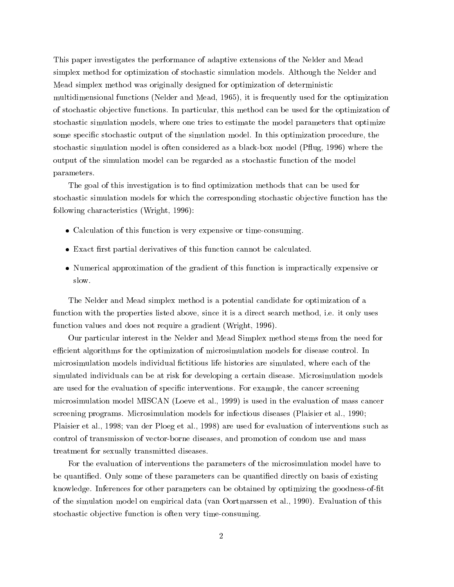This paper investigates the performance of adaptive extensions of the Nelder and Mead simplex method for optimization of stochastic simulation models. Although the Nelder and Mead simplex method was originally designed for optimization of deterministic multidimensional functions (Nelder and Mead, 1965), it is frequently used for the optimization of stochastic ob jective functions. In particular, this method can be used for the optimization of stochastic simulation models, where one tries to estimate the model parameters that optimize some specic stochastic output of the simulation model. In this optimization procedure, the stochastic simulation model is often considered as a black-box model (P
ug, 1996) where the output of the simulation model can be regarded as a stochastic function of the model parameters.

The goal of this investigation is to find optimization methods that can be used for stochastic simulation models for which the corresponding stochastic objective function has the following characteristics (Wright, 1996):

- Calculation of this function is very expensive or time-consuming.
- $\bullet$  Exact first partial derivatives of this function cannot be calculated.
- Numerical approximation of the gradient of this function is impractically expensive or slow.

The Nelder and Mead simplex method is a potential candidate for optimization of a function with the properties listed above, since it is a direct search method, i.e. it only uses function values and does not require a gradient (Wright, 1996).

Our particular interest in the Nelder and Mead Simplex method stems from the need for efficient algorithms for the optimization of microsimulation models for disease control. In microsimulation models individual fictitious life histories are simulated, where each of the simulated individuals can be at risk for developing a certain disease. Microsimulation models are used for the evaluation of specic interventions. For example, the cancer screening microsimulation model MISCAN (Loeve et al., 1999) is used in the evaluation of mass cancer screening programs. Microsimulation models for infectious diseases (Plaisier et al., 1990; Plaisier et al., 1998; van der Ploeg et al., 1998) are used for evaluation of interventions such as control of transmission of vector-borne diseases, and promotion of condom use and mass treatment for sexually transmitted diseases.

For the evaluation of interventions the parameters of the microsimulation model have to be quantied. Only some of these parameters can be quantied directly on basis of existing knowledge. Inferences for other parameters can be obtained by optimizing the goodness-of-fit of the simulation model on empirical data (van Oortmarssen et al., 1990). Evaluation of this stochastic objective function is often very time-consuming.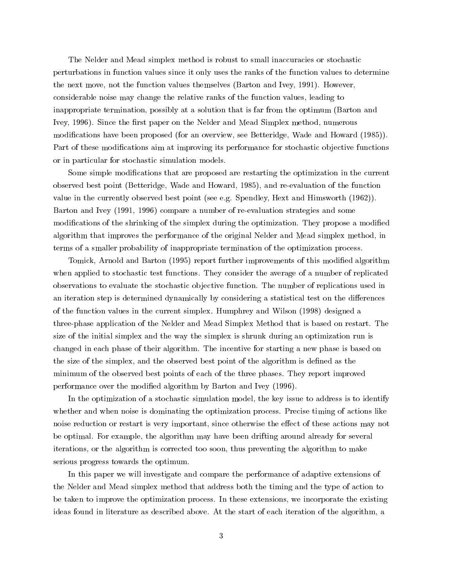The Nelder and Mead simplex method is robust to small inaccuracies or stochastic perturbations in function values since it only uses the ranks of the function values to determine the next move, not the function values themselves (Barton and Ivey, 1991). However, considerable noise may change the relative ranks of the function values, leading to inappropriate termination, possibly at a solution that is far from the optimum (Barton and Ivey, 1996). Since the first paper on the Nelder and Mead Simplex method, numerous modifications have been proposed (for an overview, see Betteridge, Wade and Howard (1985)). Part of these modifications aim at improving its performance for stochastic objective functions or in particular for stochastic simulation models.

Some simple modications that are proposed are restarting the optimization in the current observed best point (Betteridge, Wade and Howard, 1985), and re-evaluation of the function value in the currently observed best point (see e.g. Spendley, Hext and Himsworth (1962)). Barton and Ivey (1991, 1996) compare a number of re-evaluation strategies and some modifications of the shrinking of the simplex during the optimization. They propose a modified algorithm that improves the performance of the original Nelder and Mead simplex method, in terms of a smaller probability of inappropriate termination of the optimization process.

Tomick, Arnold and Barton (1995) report further improvements of this modified algorithm when applied to stochastic test functions. They consider the average of a number of replicated observations to evaluate the stochastic ob jective function. The number of replications used in an iteration step is determined dynamically by considering a statistical test on the differences of the function values in the current simplex. Humphrey and Wilson (1998) designed a three-phase application of the Nelder and Mead Simplex Method that is based on restart. The size of the initial simplex and the way the simplex is shrunk during an optimization run is changed in each phase of their algorithm. The incentive for starting a new phase is based on the size of the simplex, and the observed best point of the algorithm is defined as the minimum of the observed best points of each of the three phases. They report improved performance over the modied algorithm by Barton and Ivey (1996).

In the optimization of a stochastic simulation model, the key issue to address is to identify whether and when noise is dominating the optimization process. Precise timing of actions like noise reduction or restart is very important, since otherwise the effect of these actions may not be optimal. For example, the algorithm may have been drifting around already for several iterations, or the algorithm is corrected too soon, thus preventing the algorithm to make serious progress towards the optimum.

In this paper we will investigate and compare the performance of adaptive extensions of the Nelder and Mead simplex method that address both the timing and the type of action to be taken to improve the optimization process. In these extensions, we incorporate the existing ideas found in literature as described above. At the start of each iteration of the algorithm, a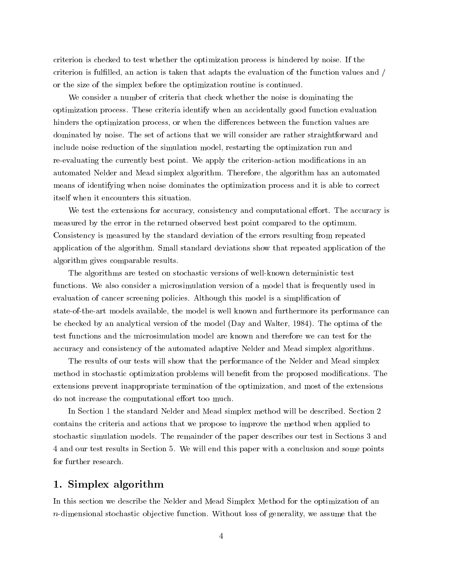criterion is checked to test whether the optimization process is hindered by noise. If the criterion is fullled, an action is taken that adapts the evaluation of the function values and / or the size of the simplex before the optimization routine is continued.

We consider a number of criteria that check whether the noise is dominating the optimization process. These criteria identify when an accidentally good function evaluation hinders the optimization process, or when the differences between the function values are dominated by noise. The set of actions that we will consider are rather straightforward and include noise reduction of the simulation model, restarting the optimization run and re-evaluating the currently best point. We apply the criterion-action modifications in an automated Nelder and Mead simplex algorithm. Therefore, the algorithm has an automated means of identifying when noise dominates the optimization process and it is able to correct itself when it encounters this situation.

We test the extensions for accuracy, consistency and computational effort. The accuracy is measured by the error in the returned observed best point compared to the optimum. Consistency is measured by the standard deviation of the errors resulting from repeated application of the algorithm. Small standard deviations show that repeated application of the algorithm gives comparable results.

The algorithms are tested on stochastic versions of well-known deterministic test functions. We also consider a microsimulation version of a model that is frequently used in evaluation of cancer screening policies. Although this model is a simplication of state-of-the-art models available, the model is well known and furthermore its performance can be checked by an analytical version of the model (Day and Walter, 1984). The optima of the test functions and the microsimulation model are known and therefore we can test for the accuracy and consistency of the automated adaptive Nelder and Mead simplex algorithms.

The results of our tests will show that the performance of the Nelder and Mead simplex method in stochastic optimization problems will benefit from the proposed modifications. The extensions prevent inappropriate termination of the optimization, and most of the extensions do not increase the computational effort too much.

In Section 1 the standard Nelder and Mead simplex method will be described. Section 2 contains the criteria and actions that we propose to improve the method when applied to stochastic simulation models. The remainder of the paper describes our test in Sections 3 and 4 and our test results in Section 5. We will end this paper with a conclusion and some points for further research.

# 1. Simplex algorithm

In this section we describe the Nelder and Mead Simplex Method for the optimization of an  $n$ -dimensional stochastic objective function. Without loss of generality, we assume that the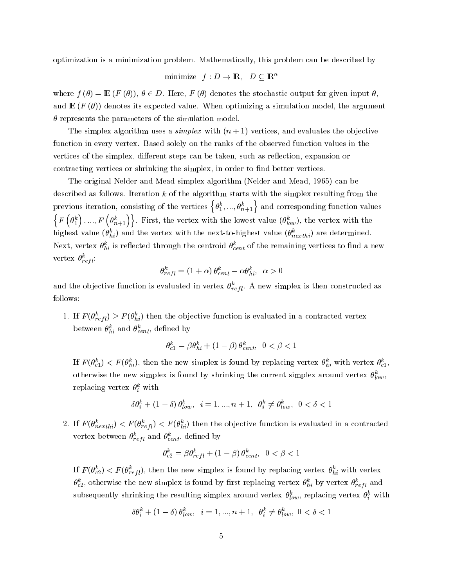optimization is a minimization problem. Mathematically, this problem can be described by

$$
\text{minimize} \quad f: D \to \mathbb{R}, \quad D \subseteq \mathbb{R}^n
$$

where  $f(\theta)=\mathbb{E} (F(\theta)), \theta \in D$ . Here,  $F(\theta)$  denotes the stochastic output for given input  $\theta$ , and  $\mathbb{E}(F(\theta))$  denotes its expected value. When optimizing a simulation model, the argument  $\theta$  represents the parameters of the simulation model.

The simplex algorithm uses a *simplex* with  $(n + 1)$  vertices, and evaluates the objective function in every vertex. Based solely on the ranks of the observed function values in the vertices of the simplex, different steps can be taken, such as reflection, expansion or contracting vertices or shrinking the simplex, in order to find better vertices.

The original Nelder and Mead simplex algorithm (Nelder and Mead, 1965) can be described as follows. Iteration  $k$  of the algorithm starts with the simplex resulting from the previous iteration, consisting of the vertices  $\left\{\theta_1^k,...,\theta_{n+1}^k\right\}$  and corresponding function values  $\{F(\theta_1^k)\ldots F\}$  $\{\theta^k_1\},...,F\left(\theta^k_{n+1}\right)\}$ . First, the vertex with the lowest value  $(\theta^k_{low})$ , the vertex with the nighest value ( $\theta_{hi}^{\cdot}$ ) and the vertex with the next-to-highest value ( $\theta_{nexthi}^{\cdot}$ ) are determined. Next, vertex  $\theta_{hi}^-$  is reflected through the centroid  $\theta_{cent}^-$  of the remaining vertices to find a new vertex  $\sigma_{refl}$ :

$$
\theta^k_{refl} = (1+\alpha)\,\theta^k_{cent} - \alpha\theta^k_{hi},\;\;\alpha > 0
$$

and the objective function is evaluated in vertex  $\theta_{refl}$ . A new simplex is then constructed as follows:

1. If  $F(\theta_{refl}^*) \geq F(\theta_{hi}^*)$  then the objective function is evaluated in a contracted vertex between  $\theta_{hi}$  and  $\theta_{cent}$ , denned by

$$
\theta_{c1}^k = \beta \theta_{hi}^k + (1 - \beta) \theta_{cent}^k, \ \ 0 < \beta < 1
$$

If  $F(\theta_{c1}) \leq F(\theta_{hi}),$  then the new simplex is found by replacing vertex  $\theta_{hi}$  with vertex  $\theta_{c1},$ otherwise the new simplex is found by shrinking the current simplex around vertex  $\theta_{low}^k$ , replacing vertex  $\sigma_i$  with

$$
\delta\theta_i^k + (1-\delta)\,\theta_{low}^k, \quad i=1,...,n+1, \quad \theta_i^k \neq \theta_{low}^k, \quad 0<\delta<1
$$

2. If  $F(\theta_{nexthi}) \leq F(\theta_{refl}) \leq F(\theta_{hi})$  then the objective function is evaluated in a contracted vertex between  $\sigma_{refl}$  and  $\sigma_{cent}$ , defined by

$$
\theta_{c2}^k = \beta \theta_{refl}^k + (1 - \beta) \theta_{cent}^k, \ \ 0 < \beta < 1
$$

If  $F(\theta_{c2}) \leq F(\theta_{refl})$ , then the new simplex is found by replacing vertex  $\theta_{hi}$  with vertex  $\sigma_{c2}$ , otherwise the new simplex is found by first replacing vertex  $\sigma_{hi}$  by vertex  $\sigma_{refl}$  and subsequently shrinking the resulting simplex around vertex  $v_{low}$ , replacing vertex  $v_i$  with

$$
\delta\theta_i^k + \left(1-\delta\right)\theta_{low}^k, \quad i=1,...,n+1, \quad \theta_i^k \neq \theta_{low}^k, \quad 0 < \delta < 1
$$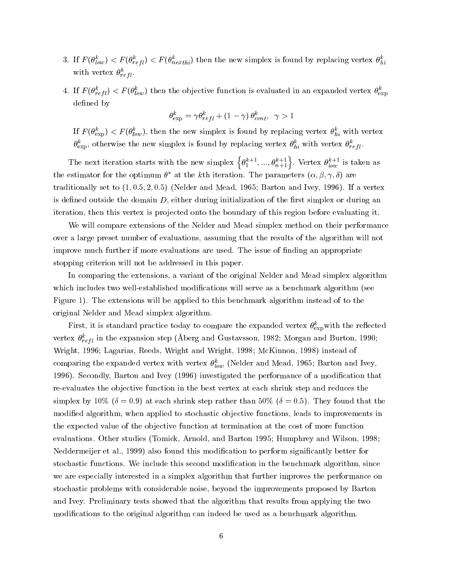- 3. If  $F(\vec{\sigma}_{low}) \leq F(\vec{\sigma}_{refl}) \leq F(\vec{\sigma}_{nexthi})$  then the new simplex is found by replacing vertex  $\vec{\sigma}_{hi}$ with vertex  $\theta_{refl}$ .
- 4. If  $r(\theta_{refl}) \leq r(\theta_{low})$  then the objective function is evaluated in an expanded vertex  $\theta_{\exp}$ defined by

$$
\theta_{\exp}^k = \gamma \theta_{refl}^k + (1 - \gamma) \theta_{cent}^k, \ \ \gamma > 1
$$

If  $F(\theta_{\text{exp}}^*) \leq F(\theta_{low}^*)$ , then the new simplex is found by replacing vertex  $\theta_{hi}^*$  with vertex  $\theta_{\rm exp}$ , otherwise the new simplex is found by replacing vertex  $\theta_{hi}^*$  with vertex  $\theta_{refl}^*$ .

The next iteration starts with the new simplex  $\{\theta_1^{k+1},...,\theta_{n+1}^{k+1}\}$ . Vertex  $\theta_{low}^{k+1}$  is taken as the estimator for the optimum  $\theta$  at the  $\kappa$ th iteration. The parameters  $(\alpha, \beta, \gamma, \delta)$  are traditionally set to  $(1, 0.5, 2, 0.5)$  (Nelder and Mead, 1965; Barton and Ivey, 1996). If a vertex is defined outside the domain  $D$ , either during initialization of the first simplex or during an iteration, then this vertex is projected onto the boundary of this region before evaluating it.

We will compare extensions of the Nelder and Mead simplex method on their performance over a large preset number of evaluations, assuming that the results of the algorithm will not improve much further if more evaluations are used. The issue of finding an appropriate stopping criterion will not be addressed in this paper.

In comparing the extensions, a variant of the original Nelder and Mead simplex algorithm which includes two well-established modifications will serve as a benchmark algorithm (see Figure 1). The extensions will be applied to this benchmark algorithm instead of to the original Nelder and Mead simplex algorithm.

First, it is standard practice today to compare the expanded vertex  $\theta_{\rm exp}^{..}$  with the reflected vertex  $\sigma_{refl}$  in the expansion step (Aberg and Gustavsson, 1982; Morgan and Burton, 1990; Wright, 1996; Lagarias, Reeds, Wright and Wright, 1998; McKinnon, 1998) instead of comparing the expanded vertex with vertex  $\sigma_{low}$  (ivelder and Mead, 1965; Barton and Ivey, 1996). Secondly, Barton and Ivey (1996) investigated the performance of a modication that re-evaluates the objective function in the best vertex at each shrink step and reduces the simplex by 10% ( $\delta = 0.9$ ) at each shrink step rather than 50% ( $\delta = 0.5$ ). They found that the modified algorithm, when applied to stochastic objective functions, leads to improvements in the expected value of the objective function at termination at the cost of more function evaluations. Other studies (Tomick, Arnold, and Barton 1995; Humphrey and Wilson, 1998; Neddermeijer et al., 1999) also found this modication to perform signicantly better for stochastic functions. We include this second modication in the benchmark algorithm, since we are especially interested in a simplex algorithm that further improves the performance on stochastic problems with considerable noise, beyond the improvements proposed by Barton and Ivey. Preliminary tests showed that the algorithm that results from applying the two modifications to the original algorithm can indeed be used as a benchmark algorithm.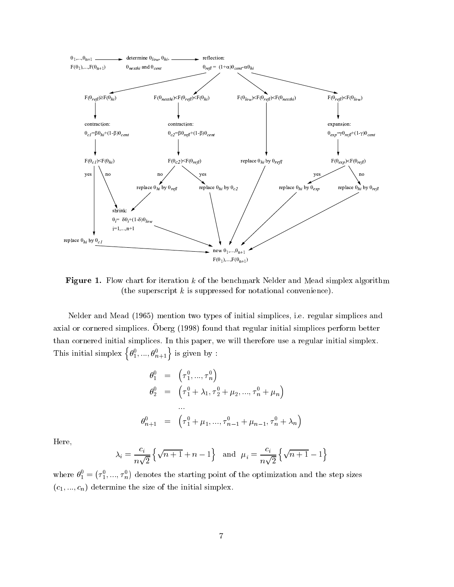

Figure 1. Flow chart for iteration  $k$  of the benchmark Nelder and Mead simplex algorithm (the superscript  $k$  is suppressed for notational convenience).

Nelder and Mead (1965) mention two types of initial simplices, i.e. regular simplices and axial or cornered simplices. Oberg (1998) found that regular initial simplices perform better than cornered initial simplices. In this paper, we will therefore use a regular initial simplex. This initial simplex  $\left\{\theta_1^0, ..., \theta_{n+1}^0\right\}$  is given by :

$$
\theta_1^0 = (\tau_1^0, ..., \tau_n^0)
$$
  
\n
$$
\theta_2^0 = (\tau_1^0 + \lambda_1, \tau_2^0 + \mu_2, ..., \tau_n^0 + \mu_n)
$$
  
\n...  
\n
$$
\theta_{n+1}^0 = (\tau_1^0 + \mu_1, ..., \tau_{n-1}^0 + \mu_{n-1}, \tau_n^0 + \lambda_n)
$$

Here,

$$
\lambda_i = \frac{c_i}{n\sqrt{2}} \left\{ \sqrt{n+1} + n - 1 \right\} \quad \text{and} \quad \mu_i = \frac{c_i}{n\sqrt{2}} \left\{ \sqrt{n+1} - 1 \right\}
$$

where  $\theta_1^0 = (\tau_1^0, ..., \tau_n^0)$  denote denotes the starting point of the optimization and the step sizes.  $(c_1, ..., c_n)$  determine the size of the initial simplex.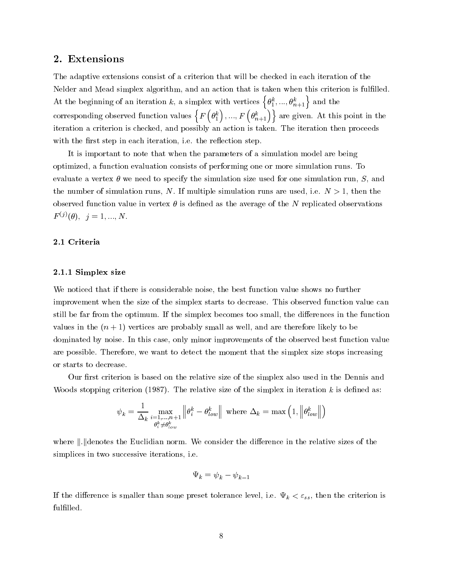# 2. Extensions

The adaptive extensions consist of a criterion that will be checked in each iteration of the Nelder and Mead simplex algorithm, and an action that is taken when this criterion is fulfilled. At the beginning of an iteration k, a simplex with vertices  $\{\theta_1^k, ..., \theta_{n+1}^k\}$  and the corresponding observed function values  $\{F(\theta_1^k),...,F(\theta_n^k)\}$  $\{\theta_1^k\},...,F\left(\theta_{n+1}^k\right)\}\$  are given. At this point in the iteration a criterion is checked, and possibly an action is taken. The iteration then proceeds with the first step in each iteration, i.e. the reflection step.

It is important to note that when the parameters of a simulation model are being optimized, a function evaluation consists of performing one or more simulation runs. To evaluate a vertex  $\theta$  we need to specify the simulation size used for one simulation run, S, and the number of simulation runs, N. If multiple simulation runs are used, i.e.  $N > 1$ , then the observed function value in vertex  $\theta$  is defined as the average of the N replicated observations  $F^{(j)}(\theta), \; j = 1, ..., N.$ 

### 2.1 Criteria

## 2.1.1 Simplex size

We noticed that if there is considerable noise, the best function value shows no further improvement when the size of the simplex starts to decrease. This observed function value can still be far from the optimum. If the simplex becomes too small, the differences in the function values in the  $(n + 1)$  vertices are probably small as well, and are therefore likely to be dominated by noise. In this case, only minor improvements of the observed best function value are possible. Therefore, we want to detect the moment that the simplex size stops increasing or starts to decrease.

Our first criterion is based on the relative size of the simplex also used in the Dennis and Woods stopping criterion (1987). The relative size of the simplex in iteration  $k$  is defined as:

$$
\psi_k = \frac{1}{\Delta_k} \max_{\substack{i=1,\ldots,n+1 \\ \theta_i^k \neq \theta_{low}^k}} \left\| \theta_i^k - \theta_{low}^k \right\| \text{ where } \Delta_k = \max\left(1, \left\| \theta_{low}^k \right\| \right)
$$

where ||.||denotes the Euclidian norm. We consider the difference in the relative sizes of the simplices in two successive iterations, i.e.

$$
\Psi_k=\psi_k-\psi_{k-1}
$$

If the difference is smaller than some preset tolerance level, i.e.  $\Psi_k < \varepsilon_{ss}$ , then the criterion is fulfilled.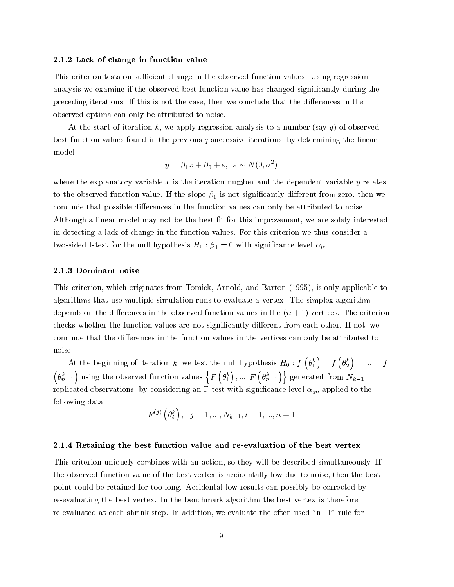#### 2.1.2 Lack of change in function value

This criterion tests on sufficient change in the observed function values. Using regression analysis we examine if the observed best function value has changed significantly during the preceding iterations. If this is not the case, then we conclude that the differences in the observed optima can only be attributed to noise.

At the start of iteration k, we apply regression analysis to a number (say q) of observed best function values found in the previous q successive iterations, by determining the linear model

$$
y = \beta_1 x + \beta_0 + \varepsilon, \varepsilon \sim N(0, \sigma^2)
$$

where the explanatory variable  $x$  is the iteration number and the dependent variable  $y$  relates to the observed function value. If the slope  $\beta_1$  is not significantly different from zero, then we conclude that possible differences in the function values can only be attributed to noise. Although a linear model may not be the best fit for this improvement, we are solely interested in detecting a lack of change in the function values. For this criterion we thus consider a two-sided t-test for the null hypothesis  $H_0$ :  $\beta_1 = 0$  with significance level  $\alpha_{lc}$ .

### 2.1.3 Dominant noise

This criterion, which originates from Tomick, Arnold, and Barton (1995), is only applicable to algorithms that use multiple simulation runs to evaluate a vertex. The simplex algorithm depends on the differences in the observed function values in the  $(n + 1)$  vertices. The criterion checks whether the function values are not significantly different from each other. If not, we conclude that the differences in the function values in the vertices can only be attributed to noise.

At the beginning of iteration k, we test the null hypothesis  $H_0 : f\left(\theta_1^k\right) = f\left(\theta_2^k\right) = ... = f$   $\{\theta^k_{n+1}\}$  using the observed function values  $\{F\left(\theta^k_1\right),...,F\}$  $\left\{ \theta _{1}^{k}\right\} ,...,\ F\left( \theta _{n+1}^{k}\right) \big\} \text{ generated from }N_{k-1}$ replicated observations, by considering an F-test with significance level  $\alpha_{dn}$  applied to the following data:

$$
F^{(j)}\left(\theta_{i}^{k}\right), \ \ j=1,...,N_{k-1}, i=1,...,n+1
$$

### 2.1.4 Retaining the best function value and re-evaluation of the best vertex

This criterion uniquely combines with an action, so they will be described simultaneously. If the observed function value of the best vertex is accidentally low due to noise, then the best point could be retained for too long. Accidental low results can possibly be corrected by re-evaluating the best vertex. In the benchmark algorithm the best vertex is therefore re-evaluated at each shrink step. In addition, we evaluate the often used "n+1" rule for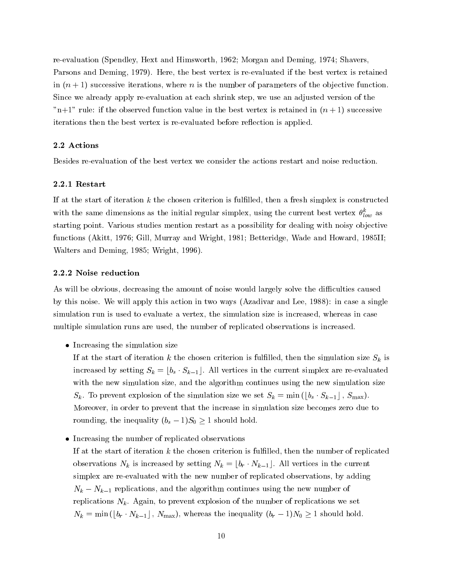re-evaluation (Spendley, Hext and Himsworth, 1962; Morgan and Deming, 1974; Shavers, Parsons and Deming, 1979). Here, the best vertex is re-evaluated if the best vertex is retained in  $(n + 1)$  successive iterations, where n is the number of parameters of the objective function. Since we already apply re-evaluation at each shrink step, we use an adjusted version of the "n+1" rule: if the observed function value in the best vertex is retained in  $(n + 1)$  successive iterations then the best vertex is re-evaluated before reflection is applied.

### 2.2 Actions

Besides re-evaluation of the best vertex we consider the actions restart and noise reduction.

### 2.2.1 Restart

If at the start of iteration  $k$  the chosen criterion is fulfilled, then a fresh simplex is constructed with the same dimensions as the initial regular simplex, using the current best vertex  $\theta_{low}^-$  as starting point. Various studies mention restart as a possibility for dealing with noisy objective functions (Akitt, 1976; Gill, Murray and Wright, 1981; Betteridge, Wade and Howard, 1985II; Walters and Deming, 1985; Wright, 1996).

### 2.2.2 Noise reduction

As will be obvious, decreasing the amount of noise would largely solve the difficulties caused by this noise. We will apply this action in two ways (Azadivar and Lee, 1988): in case a single simulation run is used to evaluate a vertex, the simulation size is increased, whereas in case multiple simulation runs are used, the number of replicated observations is increased.

• Increasing the simulation size

If at the start of iteration k the chosen criterion is fulfilled, then the simulation size  $S_k$  is increased by setting  $S_k = \lfloor b_s \cdot S_{k-1} \rfloor$ . All vertices in the current simplex are re-evaluated with the new simulation size, and the algorithm continues using the new simulation size  $S_k$ . To prevent explosion of the simulation size we set  $S_k = \min\left(\lfloor b_s \cdot S_{k-1} \rfloor, S_{\max}\right)$ . Moreover, in order to prevent that the increase in simulation size becomes zero due to rounding, the inequality  $(b_s - 1)S_0 \geq 1$  should hold.

• Increasing the number of replicated observations

If at the start of iteration  $k$  the chosen criterion is fulfilled, then the number of replicated observations  $N_k$  is increased by setting  $N_k = [b_r \cdot N_{k-1}]$ . All vertices in the current simplex are re-evaluated with the new number of replicated observations, by adding  $N_k - N_{k-1}$  replications, and the algorithm continues using the new number of replications  $N_k$ . Again, to prevent explosion of the number of replications we set  $N_k = \min\left(\lfloor b_r \cdot N_{k-1}\rfloor, N_{\max}\right)$ , whereas the inequality  $(b_r - 1)N_0 \geq 1$  should hold.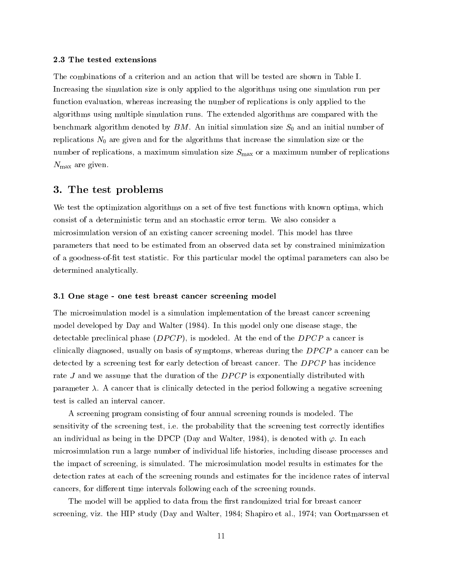#### 2.3 The tested extensions

The combinations of a criterion and an action that will be tested are shown in Table I. Increasing the simulation size is only applied to the algorithms using one simulation run per function evaluation, whereas increasing the number of replications is only applied to the algorithms using multiple simulation runs. The extended algorithms are compared with the benchmark algorithm denoted by  $BM$ . An initial simulation size  $S_0$  and an initial number of replications  $N_0$  are given and for the algorithms that increase the simulation size or the number of replications, a maximum simulation size  $S_{\text{max}}$  or a maximum number of replications  $N_{\text{max}}$  are given.

# 3. The test problems

We test the optimization algorithms on a set of five test functions with known optima, which consist of a deterministic term and an stochastic error term. We also consider a microsimulation version of an existing cancer screening model. This model has three parameters that need to be estimated from an observed data set by constrained minimization of a goodness-of-t test statistic. For this particular model the optimal parameters can also be determined analytically.

#### 3.1 One stage - one test breast cancer screening model

The microsimulation model is a simulation implementation of the breast cancer screening model developed by Day and Walter (1984). In this model only one disease stage, the detectable preclinical phase  $(DPCP)$ , is modeled. At the end of the  $DPCP$  a cancer is clinically diagnosed, usually on basis of symptoms, whereas during the DPCP a cancer can be detected by a screening test for early detection of breast cancer. The DPCP has incidence rate  $J$  and we assume that the duration of the  $DPCP$  is exponentially distributed with parameter  $\lambda$ . A cancer that is clinically detected in the period following a negative screening test is called an interval cancer.

A screening program consisting of four annual screening rounds is modeled. The sensitivity of the screening test, i.e. the probability that the screening test correctly identies an individual as being in the DPCP (Day and Walter, 1984), is denoted with  $\varphi$ . In each microsimulation run a large number of individual life histories, including disease processes and the impact of screening, is simulated. The microsimulation model results in estimates for the detection rates at each of the screening rounds and estimates for the incidence rates of interval cancers, for different time intervals following each of the screening rounds.

The model will be applied to data from the first randomized trial for breast cancer screening, viz. the HIP study (Day and Walter, 1984; Shapiro et al., 1974; van Oortmarssen et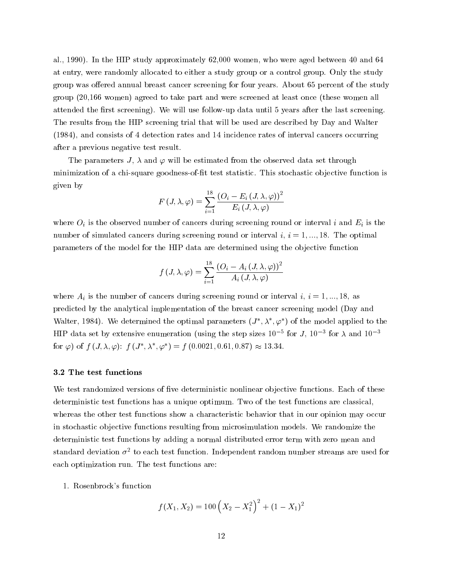al., 1990). In the HIP study approximately 62,000 women, who were aged between 40 and 64 at entry, were randomly allocated to either a study group or a control group. Only the study group was offered annual breast cancer screening for four years. About 65 percent of the study group (20,166 women) agreed to take part and were screened at least once (these women all attended the first screening). We will use follow-up data until 5 years after the last screening. The results from the HIP screening trial that will be used are described by Day and Walter (1984), and consists of 4 detection rates and 14 incidence rates of interval cancers occurring after a previous negative test result.

The parameters J,  $\lambda$  and  $\varphi$  will be estimated from the observed data set through minimization of a chi-square goodness-of-fit test statistic. This stochastic objective function is given by

$$
F\left(J,\lambda,\varphi\right)=\sum_{i=1}^{18}\frac{\left(O_{i}-E_{i}\left(J,\lambda,\varphi\right)\right)^{2}}{E_{i}\left(J,\lambda,\varphi\right)}
$$

where  $O_i$  is the observed number of cancers during screening round or interval i and  $E_i$  is the number of simulated cancers during screening round or interval  $i, i = 1, \ldots, 18$ . The optimal parameters of the model for the HIP data are determined using the objective function

$$
f\left(J,\lambda,\varphi\right)=\sum_{i=1}^{18}\frac{\left(O_{i}-A_{i}\left(J,\lambda,\varphi\right)\right)^{2}}{A_{i}\left(J,\lambda,\varphi\right)}
$$

where  $A_i$  is the number of cancers during screening round or interval i,  $i = 1, ..., 18$ , as predicted by the analytical implementation of the breast cancer screening model (Day and Walter, 1984). We determined the optimal parameters  $(J^*,\lambda^*,\varphi^*)$  of the model applied to the HIP data set by extensive enumeration (using the step sizes 10  $^\circ$  for J, 10  $^\circ$  for  $\lambda$  and 10  $^\circ$ for  $\varphi$ ) of f  $(J, \lambda, \varphi)$ : f  $(J', \lambda, \varphi') = f(0.0021, 0.61, 0.87) \approx 13.34$ .

### 3.2 The test functions

We test randomized versions of five deterministic nonlinear objective functions. Each of these deterministic test functions has a unique optimum. Two of the test functions are classical, whereas the other test functions show a characteristic behavior that in our opinion may occur in stochastic objective functions resulting from microsimulation models. We randomize the deterministic test functions by adding a normal distributed error term with zero mean and standard deviation  $\sigma^-$  to each test function. Independent random number streams are used for each optimization run. The test functions are:

1. Rosenbrock's function

$$
f(X_1, X_2) = 100\left(X_2 - X_1^2\right)^2 + (1 - X_1)^2
$$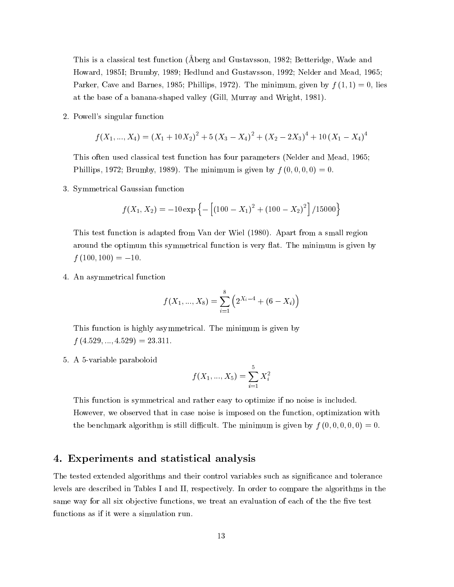This is a classical test function (Aberg and Gustavsson, 1982; Betteridge, Wade and Howard, 1985I; Brumby, 1989; Hedlund and Gustavsson, 1992; Nelder and Mead, 1965; Parker, Cave and Barnes, 1985; Phillips, 1972). The minimum, given by  $f(1, 1) = 0$ , lies at the base of a banana-shaped valley (Gill, Murray and Wright, 1981).

2. Powell's singular function

$$
f(X_1,...,X_4) = (X_1 + 10X_2)^2 + 5(X_3 - X_4)^2 + (X_2 - 2X_3)^4 + 10(X_1 - X_4)^4
$$

This often used classical test function has four parameters (Nelder and Mead, 1965; Phillips, 1972; Brumby, 1989). The minimum is given by  $f(0,0,0,0) = 0$ .

3. Symmetrical Gaussian function

$$
f(X_1, X_2) = -10 \exp \left\{-\left[ (100 - X_1)^2 + (100 - X_2)^2 \right] / 15000 \right\}
$$

This test function is adapted from Van der Wiel (1980). Apart from a small region around the optimum this symmetrical function is very flat. The minimum is given by  $f(100, 100) = -10.$ 

4. An asymmetrical function

$$
f(X_1,...,X_8)=\sum_{i=1}^8\left(2^{X_i-4}+(6-X_i)\right)
$$

This function is highly asymmetrical. The minimum is given by  $f(4.529, ..., 4.529) = 23.311.$ 

5. A 5-variable paraboloid

$$
f(X_1,...,X_5) = \sum_{i=1}^5 X_i^2
$$

This function is symmetrical and rather easy to optimize if no noise is included. However, we observed that in case noise is imposed on the function, optimization with the benchmark algorithm is still difficult. The minimum is given by  $f(0, 0, 0, 0, 0) = 0$ .

# 4. Experiments and statistical analysis

The tested extended algorithms and their control variables such as signicance and tolerance levels are described in Tables I and II, respectively. In order to compare the algorithms in the same way for all six objective functions, we treat an evaluation of each of the the five test functions as if it were a simulation run.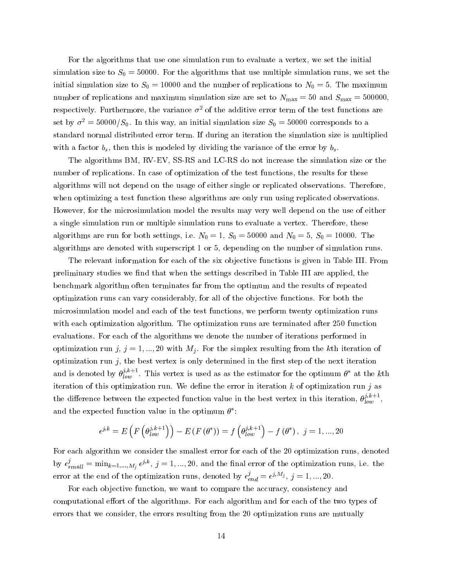For the algorithms that use one simulation run to evaluate a vertex, we set the initial simulation size to  $S_0 = 50000$ . For the algorithms that use multiple simulation runs, we set the initial simulation size to  $S_0 = 10000$  and the number of replications to  $N_0 = 5$ . The maximum number of replications and maximum simulation size are set to  $N_{\text{max}} = 50$  and  $S_{\text{max}} = 500000$ , respectively. Furthermore, the variance  $\sigma^2$  of the additive error term of the test functions are set by  $\sigma^2 = 50000/S_0$ . In this way, an initial simulation size  $S_0 = 50000$  corresponds to a standard normal distributed error term. If during an iteration the simulation size is multiplied with a factor  $b_s$ , then this is modeled by dividing the variance of the error by  $b_s$ .

The algorithms BM, RV-EV, SS-RS and LC-RS do not increase the simulation size or the number of replications. In case of optimization of the test functions, the results for these algorithms will not depend on the usage of either single or replicated observations. Therefore, when optimizing a test function these algorithms are only run using replicated observations. However, for the microsimulation model the results may very well depend on the use of either a single simulation run or multiple simulation runs to evaluate a vertex. Therefore, these algorithms are run for both settings, i.e.  $N_0 = 1, S_0 = 50000$  and  $N_0 = 5, S_0 = 10000$ . The algorithms are denoted with superscript 1 or 5, depending on the number of simulation runs.

The relevant information for each of the six objective functions is given in Table III. From preliminary studies we find that when the settings described in Table III are applied, the benchmark algorithm often terminates far from the optimum and the results of repeated optimization runs can vary considerably, for all of the ob jective functions. For both the microsimulation model and each of the test functions, we perform twenty optimization runs with each optimization algorithm. The optimization runs are terminated after 250 function evaluations. For each of the algorithms we denote the number of iterations performed in optimization run j,  $j = 1, ..., 20$  with  $M_j$ . For the simplex resulting from the kth iteration of optimization run  $j$ , the best vertex is only determined in the first step of the next iteration and is denoted by  $\theta^{\nu}_{low}$  . This vertex is used as as the estimator for the optimum  $\theta^{\nu}$  at the kth iteration of this optimization run. We define the error in iteration  $k$  of optimization run  $j$  as the difference between the expected function value in the best vertex in this iteration,  $\theta_{low}^{p_{inv}^{m} }$  , and the expected function value in the optimum  $\theta$  :

$$
\epsilon^{j,k}=E\left(F\left(\theta_{low}^{j,k+1}\right)\right)-E\left(F\left(\theta^{*}\right)\right)=f\left(\theta_{low}^{j,k+1}\right)-f\left(\theta^{*}\right),\:\:j=1,...,20
$$

For each algorithm we consider the smallest error for each of the 20 optimization runs, denoted by  $\epsilon'_{small} = \min_{k=1,...,M_i} \epsilon^{j,r}$ ,  $j=1,...,20$ , and the final error of the optimization runs, i.e. the error at the end of the optimization runs, denoted by  $\epsilon_{end}^j = \epsilon^{j, m_j}, j = 1, ..., 20.$ 

For each objective function, we want to compare the accuracy, consistency and computational effort of the algorithms. For each algorithm and for each of the two types of errors that we consider, the errors resulting from the 20 optimization runs are mutually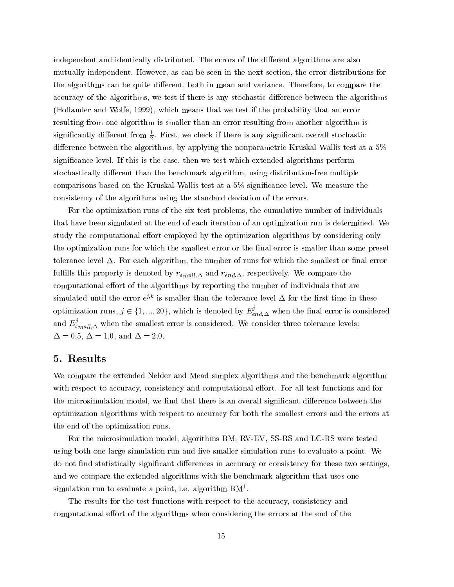independent and identically distributed. The errors of the different algorithms are also mutually independent. However, as can be seen in the next section, the error distributions for the algorithms can be quite different, both in mean and variance. Therefore, to compare the accuracy of the algorithms, we test if there is any stochastic difference between the algorithms (Hollander and Wolfe, 1999), which means that we test if the probability that an error resulting from one algorithm is smaller than an error resulting from another algorithm is  $\sup$ nincantly different from  $\frac{1}{2}$ . First, we check if there is any significant overall stochastic difference between the algorithms, by applying the nonparametric Kruskal-Wallis test at a  $5\%$ signicance level. If this is the case, then we test which extended algorithms perform stochastically different than the benchmark algorithm, using distribution-free multiple comparisons based on the Kruskal-Wallis test at a 5% signicance level. We measure the consistency of the algorithms using the standard deviation of the errors.

For the optimization runs of the six test problems, the cumulative number of individuals that have been simulated at the end of each iteration of an optimization run is determined. We study the computational effort employed by the optimization algorithms by considering only the optimization runs for which the smallest error or the final error is smaller than some preset tolerance level  $\Delta$ . For each algorithm, the number of runs for which the smallest or final error fulfills this property is denoted by  $r_{small,\Delta}$  and  $r_{end,\Delta}$ , respectively. We compare the computational effort of the algorithms by reporting the number of individuals that are simulated until the error  $\epsilon$  is smaller than the tolerance level  $\Delta$  for the first time in these optimization runs,  $j \in \{1,...,20\},$  which is denoted by  $E_{end,\Delta}^{\prime}$  when the final error is considered and  $E_{small,\Delta}^{\prime}$  when the smallest error is considered. We consider three tolerance levels:  $\Delta=0.5, \Delta=1.0, \text{ and } \Delta=2.0.$ 

# 5. Results

We compare the extended Nelder and Mead simplex algorithms and the benchmark algorithm with respect to accuracy, consistency and computational effort. For all test functions and for the microsimulation model, we find that there is an overall significant difference between the optimization algorithms with respect to accuracy for both the smallest errors and the errors at the end of the optimization runs.

For the microsimulation model, algorithms BM, RV-EV, SS-RS and LC-RS were tested using both one large simulation run and five smaller simulation runs to evaluate a point. We do not find statistically significant differences in accuracy or consistency for these two settings, and we compare the extended algorithms with the benchmark algorithm that uses one simulation run to evaluate a point, i.e. algorithm BM<sup>1</sup> .

The results for the test functions with respect to the accuracy, consistency and computational effort of the algorithms when considering the errors at the end of the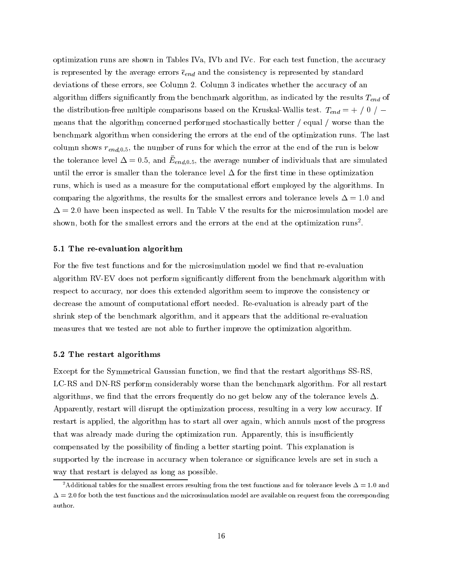optimization runs are shown in Tables IVa, IVb and IVc. For each test function, the accuracy is represented by the average errors  $\bar{\epsilon}_{end}$  and the consistency is represented by standard deviations of these errors, see Column 2. Column 3 indicates whether the accuracy of an algorithm differs significantly from the benchmark algorithm, as indicated by the results  $T_{end}$  of the distribution-free multiple comparisons based on the Kruskal-Wallis test.  $T_{end} = + / 0 /$ means that the algorithm concerned performed stochastically better / equal / worse than the benchmark algorithm when considering the errors at the end of the optimization runs. The last column shows  $r_{end,0.5}$ , the number of runs for which the error at the end of the run is below the tolerance level  $\Delta = 0.5$ , and  $E_{end,0.5}$ , the average number of individuals that are simulated until the error is smaller than the tolerance level  $\Delta$  for the first time in these optimization runs, which is used as a measure for the computational effort employed by the algorithms. In comparing the algorithms, the results for the smallest errors and tolerance levels  $\Delta = 1.0$  and  $\Delta=2.0$  have been inspected as well. In Table V the results for the microsimulation model are shown, both for the smallest errors and the errors at the end at the optimization runs<sup>2</sup>.

#### 5.1 The re-evaluation algorithm

For the five test functions and for the microsimulation model we find that re-evaluation algorithm RV-EV does not perform significantly different from the benchmark algorithm with respect to accuracy, nor does this extended algorithm seem to improve the consistency or decrease the amount of computational effort needed. Re-evaluation is already part of the shrink step of the benchmark algorithm, and it appears that the additional re-evaluation measures that we tested are not able to further improve the optimization algorithm.

### 5.2 The restart algorithms

Except for the Symmetrical Gaussian function, we find that the restart algorithms SS-RS, LC-RS and DN-RS perform considerably worse than the benchmark algorithm. For all restart algorithms, we find that the errors frequently do no get below any of the tolerance levels  $\Delta$ . Apparently, restart will disrupt the optimization process, resulting in a very low accuracy. If restart is applied, the algorithm has to start all over again, which annuls most of the progress that was already made during the optimization run. Apparently, this is insufficiently compensated by the possibility of nding a better starting point. This explanation is supported by the increase in accuracy when tolerance or significance levels are set in such a way that restart is delayed as long as possible.

<sup>&</sup>lt;sup>2</sup>Additional tables for the smallest errors resulting from the test functions and for tolerance levels  $\Delta = 1.0$  and  $\Delta = 2.0$  for both the test functions and the microsimulation model are available on request from the corresponding author.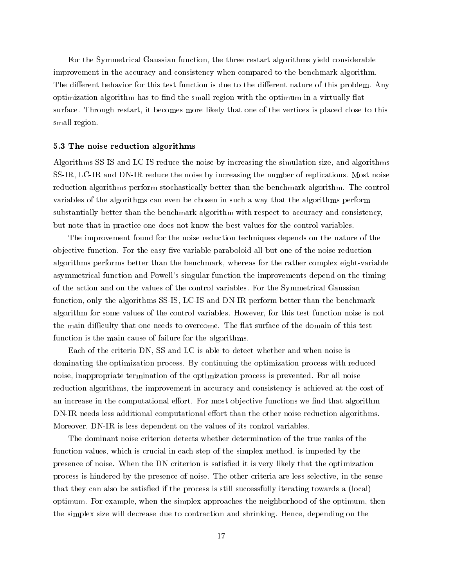For the Symmetrical Gaussian function, the three restart algorithms yield considerable improvement in the accuracy and consistency when compared to the benchmark algorithm. The different behavior for this test function is due to the different nature of this problem. Any optimization algorithm has to find the small region with the optimum in a virtually flat surface. Through restart, it becomes more likely that one of the vertices is placed close to this small region.

#### 5.3 The noise reduction algorithms

Algorithms SS-IS and LC-IS reduce the noise by increasing the simulation size, and algorithms SS-IR, LC-IR and DN-IR reduce the noise by increasing the number of replications. Most noise reduction algorithms perform stochastically better than the benchmark algorithm. The control variables of the algorithms can even be chosen in suchaway that the algorithms perform substantially better than the benchmark algorithm with respect to accuracy and consistency, but note that in practice one does not know the best values for the control variables.

The improvement found for the noise reduction techniques depends on the nature of the objective function. For the easy five-variable paraboloid all but one of the noise reduction algorithms performs better than the benchmark, whereas for the rather complex eight-variable asymmetrical function and Powell's singular function the improvements depend on the timing of the action and on the values of the control variables. For the Symmetrical Gaussian function, only the algorithms SS-IS, LC-IS and DN-IR perform better than the benchmark algorithm for some values of the control variables. However, for this test function noise is not the main difficulty that one needs to overcome. The flat surface of the domain of this test function is the main cause of failure for the algorithms.

Each of the criteria DN, SS and LC is able to detect whether and when noise is dominating the optimization process. By continuing the optimization process with reduced noise, inappropriate termination of the optimization process is prevented. For all noise reduction algorithms, the improvement in accuracy and consistency is achieved at the cost of an increase in the computational effort. For most objective functions we find that algorithm DN-IR needs less additional computational effort than the other noise reduction algorithms. Moreover, DN-IR is less dependent on the values of its control variables.

The dominant noise criterion detects whether determination of the true ranks of the function values, which is crucial in each step of the simplex method, is impeded by the presence of noise. When the DN criterion is satised it is very likely that the optimization process is hindered by the presence of noise. The other criteria are less selective, in the sense that they can also be satisfied if the process is still successfully iterating towards a (local) optimum. For example, when the simplex approaches the neighborhood of the optimum, then the simplex size will decrease due to contraction and shrinking. Hence, depending on the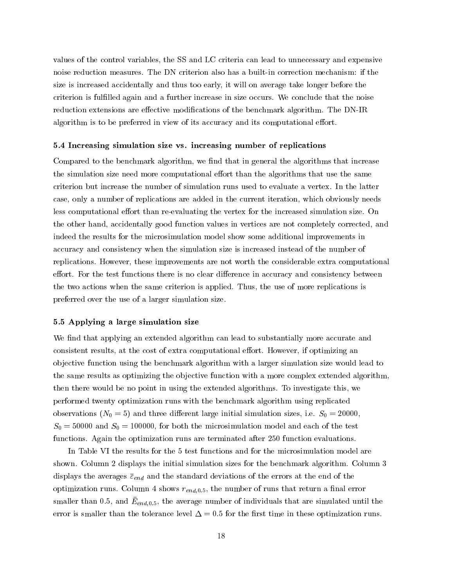values of the control variables, the SS and LC criteria can lead to unnecessary and expensive noise reduction measures. The DN criterion also has a built-in correction mechanism: if the size is increased accidentally and thus too early, it will on average take longer before the criterion is fullled again and a further increase in size occurs. We conclude that the noise reduction extensions are effective modifications of the benchmark algorithm. The DN-IR algorithm is to be preferred in view of its accuracy and its computational effort.

#### 5.4 Increasing simulation size vs. increasing number of replications

Compared to the benchmark algorithm, we find that in general the algorithms that increase the simulation size need more computational effort than the algorithms that use the same criterion but increase the number of simulation runs used to evaluate a vertex. In the latter case, only a number of replications are added in the current iteration, which obviously needs less computational effort than re-evaluating the vertex for the increased simulation size. On the other hand, accidentally good function values in vertices are not completely corrected, and indeed the results for the microsimulation model show some additional improvements in accuracy and consistency when the simulation size is increased instead of the number of replications. However, these improvements are not worth the considerable extra computational effort. For the test functions there is no clear difference in accuracy and consistency between the two actions when the same criterion is applied. Thus, the use of more replications is preferred over the use of a larger simulation size.

### 5.5 Applying a large simulation size

We find that applying an extended algorithm can lead to substantially more accurate and consistent results, at the cost of extra computational effort. However, if optimizing an ob jective function using the benchmark algorithm with a larger simulation size would lead to the same results as optimizing the objective function with a more complex extended algorithm, then there would be no point in using the extended algorithms. To investigate this, we performed twenty optimization runs with the benchmark algorithm using replicated observations ( $N_0 = 5$ ) and three different large initial simulation sizes, i.e.  $S_0 = 20000$ ,  $S_0 = 50000$  and  $S_0 = 100000$ , for both the microsimulation model and each of the test functions. Again the optimization runs are terminated after 250 function evaluations.

In Table VI the results for the 5 test functions and for the microsimulation model are shown. Column 2 displays the initial simulation sizes for the benchmark algorithm. Column 3 displays the averages  $\bar{\varepsilon}_{end}$  and the standard deviations of the errors at the end of the optimization runs. Column 4 shows  $r_{end,0.5}$ , the number of runs that return a final error smaller than 0.5, and  $E_{end,0.5}$ , the average number of individuals that are simulated until the error is smaller than the tolerance level  $\Delta = 0.5$  for the first time in these optimization runs.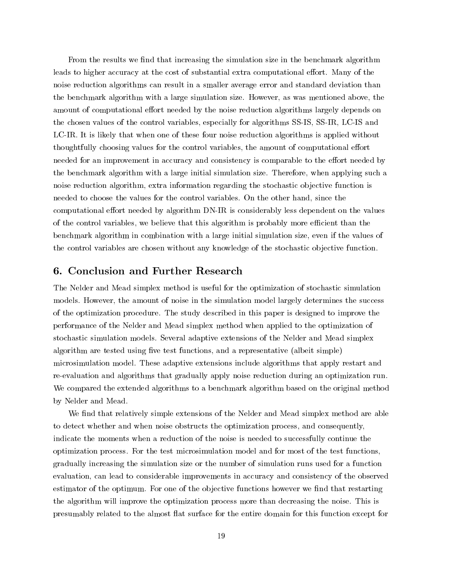From the results we find that increasing the simulation size in the benchmark algorithm leads to higher accuracy at the cost of substantial extra computational effort. Many of the noise reduction algorithms can result in a smaller average error and standard deviation than the benchmark algorithm with a large simulation size. However, as was mentioned above, the amount of computational effort needed by the noise reduction algorithms largely depends on the chosen values of the control variables, especially for algorithms SS-IS, SS-IR, LC-IS and LC-IR. It is likely that when one of these four noise reduction algorithms is applied without thoughtfully choosing values for the control variables, the amount of computational effort needed for an improvement in accuracy and consistency is comparable to the effort needed by the benchmark algorithm with a large initial simulation size. Therefore, when applying such a noise reduction algorithm, extra information regarding the stochastic objective function is needed to choose the values for the control variables. On the other hand, since the computational effort needed by algorithm DN-IR is considerably less dependent on the values of the control variables, we believe that this algorithm is probably more efficient than the benchmark algorithm in combination with a large initial simulation size, even if the values of the control variables are chosen without any knowledge of the stochastic objective function.

# 6. Conclusion and Further Research

The Nelder and Mead simplex method is useful for the optimization of stochastic simulation models. However, the amount of noise in the simulation model largely determines the success of the optimization procedure. The study described in this paper is designed to improve the performance of the Nelder and Mead simplex method when applied to the optimization of stochastic simulation models. Several adaptive extensions of the Nelder and Mead simplex algorithm are tested using five test functions, and a representative (albeit simple) microsimulation model. These adaptive extensions include algorithms that apply restart and re-evaluation and algorithms that gradually apply noise reduction during an optimization run. We compared the extended algorithms to a benchmark algorithm based on the original method by Nelder and Mead.

We find that relatively simple extensions of the Nelder and Mead simplex method are able to detect whether and when noise obstructs the optimization process, and consequently, indicate the moments when a reduction of the noise is needed to successfully continue the optimization process. For the test microsimulation model and for most of the test functions, gradually increasing the simulation size or the number of simulation runs used for a function evaluation, can lead to considerable improvements in accuracy and consistency of the observed estimator of the optimum. For one of the objective functions however we find that restarting the algorithm will improve the optimization process more than decreasing the noise. This is presumably related to the almost flat surface for the entire domain for this function except for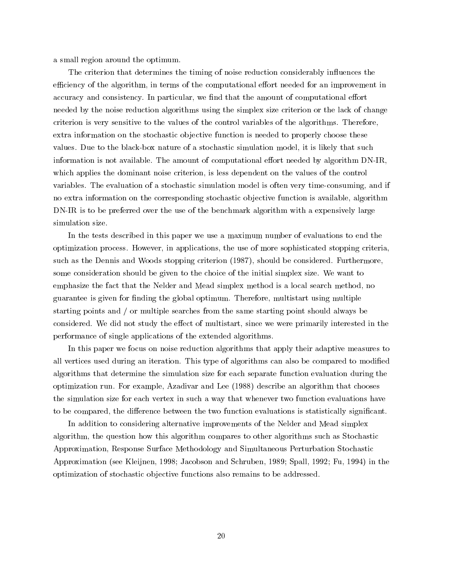a small region around the optimum.

The criterion that determines the timing of noise reduction considerably influences the efficiency of the algorithm, in terms of the computational effort needed for an improvement in accuracy and consistency. In particular, we find that the amount of computational effort needed by the noise reduction algorithms using the simplex size criterion or the lack of change criterion is very sensitive to the values of the control variables of the algorithms. Therefore, extra information on the stochastic objective function is needed to properly choose these values. Due to the black-box nature of a stochastic simulation model, it is likely that such information is not available. The amount of computational effort needed by algorithm  $DN-IR$ , which applies the dominant noise criterion, is less dependent on the values of the control variables. The evaluation of a stochastic simulation model is often very time-consuming, and if no extra information on the corresponding stochastic objective function is available, algorithm DN-IR is to be preferred over the use of the benchmark algorithm with a expensively large simulation size.

In the tests described in this paper we use a maximum number of evaluations to end the optimization process. However, in applications, the use of more sophisticated stopping criteria, such as the Dennis and Woods stopping criterion (1987), should be considered. Furthermore, some consideration should be given to the choice of the initial simplex size. We want to emphasize the fact that the Nelder and Mead simplex method is a local search method, no guarantee is given for finding the global optimum. Therefore, multistart using multiple starting points and / or multiple searches from the same starting point should always be considered. We did not study the effect of multistart, since we were primarily interested in the performance of single applications of the extended algorithms.

In this paper we focus on noise reduction algorithms that apply their adaptive measures to all vertices used during an iteration. This type of algorithms can also be compared to modied algorithms that determine the simulation size for each separate function evaluation during the optimization run. For example, Azadivar and Lee (1988) describe an algorithm that chooses the simulation size for each vertex in suchaway that whenever two function evaluations have to be compared, the difference between the two function evaluations is statistically significant.

In addition to considering alternative improvements of the Nelder and Mead simplex algorithm, the question how this algorithm compares to other algorithms such as Stochastic Approximation, Response Surface Methodology and Simultaneous Perturbation Stochastic Approximation (see Kleijnen, 1998; Jacobson and Schruben, 1989; Spall, 1992; Fu, 1994) in the optimization of stochastic ob jective functions also remains to be addressed.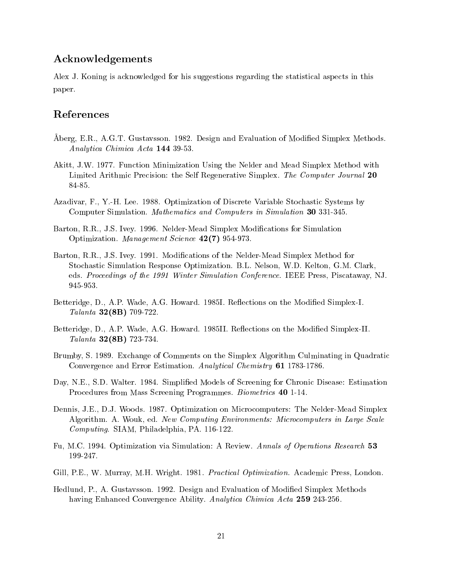# Acknowledgements

Alex J. Koning is acknowledged for his suggestions regarding the statistical aspects in this paper.

# References

- Aberg, E.R., A.G.T. Gustavsson. 1982. Design and Evaluation of Modified Simplex Methods. Analytica Chimica Acta 144 39-53.
- Akitt, J.W. 1977. Function Minimization Using the Nelder and Mead Simplex Method with Limited Arithmic Precision: the Self Regenerative Simplex. The Computer Journal 20 84-85.
- Azadivar, F., Y.-H. Lee. 1988. Optimization of Discrete Variable Stochastic Systems by Computer Simulation. Mathematics and Computers in Simulation 30 331-345.
- Barton, R.R., J.S. Ivey. 1996. Nelder-Mead Simplex Modications for Simulation Optimization. Management Science 42(7) 954-973.
- Barton, R.R., J.S. Ivey. 1991. Modications of the Nelder-Mead Simplex Method for Stochastic Simulation Response Optimization. B.L. Nelson, W.D. Kelton, G.M. Clark, eds. Proceedings of the 1991 Winter Simulation Conference. IEEE Press, Piscataway, NJ. 945-953.
- Betteridge, D., A.P. Wade, A.G. Howard. 1985I. Reflections on the Modified Simplex-I. Talanta 32(8B) 709-722.
- Betteridge, D., A.P. Wade, A.G. Howard. 1985II. Reflections on the Modified Simplex-II. Talanta 32(8B) 723-734.
- Brumby, S. 1989. Exchange of Comments on the Simplex Algorithm Culminating in Quadratic Convergence and Error Estimation. Analytical Chemistry 61 1783-1786.
- Day, N.E., S.D. Walter. 1984. Simplied Models of Screening for Chronic Disease: Estimation Procedures from Mass Screening Programmes. Biometrics 40 1-14.
- Dennis, J.E., D.J. Woods. 1987. Optimization on Microcomputers: The Nelder-Mead Simplex Algorithm. A. Wouk, ed. New Computing Environments: Microcomputers in Large Scale Computing. SIAM, Philadelphia, PA. 116-122.
- Fu, M.C. 1994. Optimization via Simulation: A Review. Annals of Operations Research 53 199-247.
- Gill, P.E., W. Murray, M.H. Wright. 1981. *Practical Optimization*. Academic Press, London.
- Hedlund, P., A. Gustavsson. 1992. Design and Evaluation of Modied Simplex Methods having Enhanced Convergence Ability. Analytica Chimica Acta 259 243-256.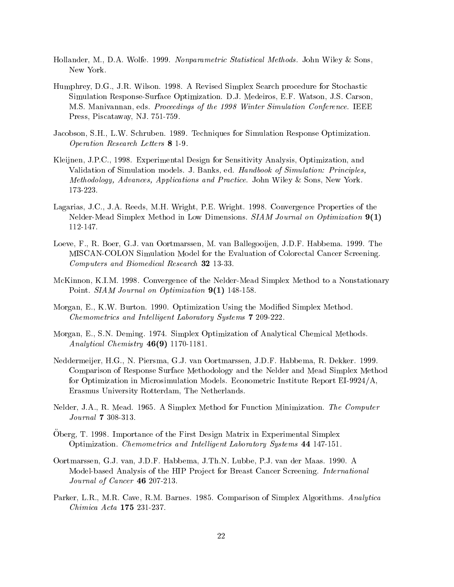- Hollander, M., D.A. Wolfe. 1999. Nonparametric Statistical Methods. John Wiley & Sons, New York.
- Humphrey, D.G., J.R. Wilson. 1998. A Revised Simplex Search procedure for Stochastic Simulation Response-Surface Optimization. D.J. Medeiros, E.F. Watson, J.S. Carson, M.S. Manivannan, eds. Proceedings of the 1998 Winter Simulation Conference. IEEE Press, Piscataway, NJ. 751-759.
- Jacobson, S.H., L.W. Schruben. 1989. Techniques for Simulation Response Optimization. Operation Research Letters 8 1-9.
- Kleijnen, J.P.C., 1998. Experimental Design for Sensitivity Analysis, Optimization, and Validation of Simulation models. J. Banks, ed. Handbook of Simulation: Principles, Methodology, Advances, Applications and Practice. John Wiley & Sons, New York. 173-223.
- Lagarias, J.C., J.A. Reeds, M.H. Wright, P.E. Wright. 1998. Convergence Properties of the Nelder-Mead Simplex Method in Low Dimensions. SIAM Journal on Optimization 9(1) 112-147.
- Loeve, F., R. Boer, G.J. van Oortmarssen, M. van Ballegooijen, J.D.F. Habbema. 1999. The MISCAN-COLON Simulation Model for the Evaluation of Colorectal Cancer Screening. Computers and Biomedical Research 32 13-33.
- McKinnon, K.I.M. 1998. Convergence of the Nelder-Mead Simplex Method to a Nonstationary Point. SIAM Journal on Optimization  $9(1)$  148-158.
- Morgan, E., K.W. Burton. 1990. Optimization Using the Modified Simplex Method. Chemometrics and Intelligent Laboratory Systems 7 209-222.
- Morgan, E., S.N. Deming. 1974. Simplex Optimization of Analytical Chemical Methods. Analytical Chemistry 46(9) 1170-1181.
- Neddermeijer, H.G., N. Piersma, G.J. van Oortmarssen, J.D.F. Habbema, R. Dekker. 1999. Comparison of Response Surface Methodology and the Nelder and Mead Simplex Method for Optimization in Microsimulation Models. Econometric Institute Report EI-9924/A, Erasmus University Rotterdam, The Netherlands.
- Nelder, J.A., R. Mead. 1965. A Simplex Method for Function Minimization. The Computer Journal 7 308-313.
- Oberg, T. 1998. Importance of the First Design Matrix in Experimental Simplex Optimization. Chemometrics and Intelligent Laboratory Systems 44 147-151.
- Oortmarssen, G.J. van, J.D.F. Habbema, J.Th.N. Lubbe, P.J. van der Maas. 1990. A Model-based Analysis of the HIP Project for Breast Cancer Screening. *International* Journal of Cancer 46 207-213.
- Parker, L.R., M.R. Cave, R.M. Barnes. 1985. Comparison of Simplex Algorithms. Analytica Chimica Acta 175 231-237.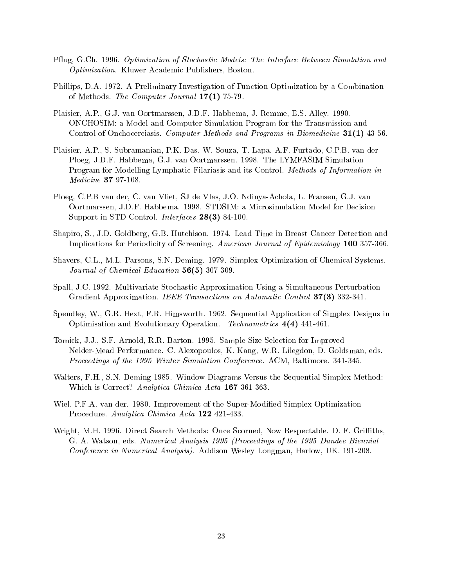- Pflug, G.Ch. 1996. Optimization of Stochastic Models: The Interface Between Simulation and Optimization. Kluwer Academic Publishers, Boston.
- Phillips, D.A. 1972. A Preliminary Investigation of Function Optimization by a Combination of Methods. The Computer Journal 17(1) 75-79.
- Plaisier, A.P., G.J. van Oortmarssen, J.D.F. Habbema, J. Remme, E.S. Alley. 1990. ONCHOSIM: a Model and Computer Simulation Program for the Transmission and Control of Onchocerciasis. Computer Methods and Programs in Biomedicine 31(1) 43-56.
- Plaisier, A.P., S. Subramanian, P.K. Das, W. Souza, T. Lapa, A.F. Furtado, C.P.B. van der Ploeg, J.D.F. Habbema, G.J. van Oortmarssen. 1998. The LYMFASIM Simulation Program for Modelling Lymphatic Filariasis and its Control. Methods of Information in Medicine 37 97-108.
- Ploeg, C.P.B van der, C. van Vliet, SJ de Vlas, J.O. Ndinya-Achola, L. Fransen, G.J. van Oortmarssen, J.D.F. Habbema. 1998. STDSIM: a Microsimulation Model for Decision Support in STD Control. Interfaces 28(3) 84-100.
- Shapiro, S., J.D. Goldberg, G.B. Hutchison. 1974. Lead Time in Breast Cancer Detection and Implications for Periodicity of Screening. American Journal of Epidemiology 100 357-366.
- Shavers, C.L., M.L. Parsons, S.N. Deming. 1979. Simplex Optimization of Chemical Systems. Journal of Chemical Education 56(5) 307-309.
- Spall, J.C. 1992. Multivariate Stochastic Approximation Using a Simultaneous Perturbation Gradient Approximation. IEEE Transactions on Automatic Control 37(3) 332-341.
- Spendley, W., G.R. Hext, F.R. Himsworth. 1962. Sequential Application of Simplex Designs in Optimisation and Evolutionary Operation. Technometrics 4(4) 441-461.
- Tomick, J.J., S.F. Arnold, R.R. Barton. 1995. Sample Size Selection for Improved Nelder-Mead Performance. C. Alexopoulos, K. Kang, W.R. Lilegdon, D. Goldsman, eds. Proceedings of the 1995 Winter Simulation Conference. ACM, Baltimore. 341-345.
- Walters, F.H., S.N. Deming 1985. Window Diagrams Versus the Sequential Simplex Method: Which is Correct? Analytica Chimica Acta 167 361-363.
- Wiel, P.F.A. van der. 1980. Improvement of the Super-Modified Simplex Optimization Procedure. Analytica Chimica Acta 122 421-433.
- Wright, M.H. 1996. Direct Search Methods: Once Scorned, Now Respectable. D. F. Griths, G. A. Watson, eds. Numerical Analysis 1995 (Proceedings of the 1995 Dundee Biennial Conference in Numerical Analysis). Addison Wesley Longman, Harlow, UK. 191-208.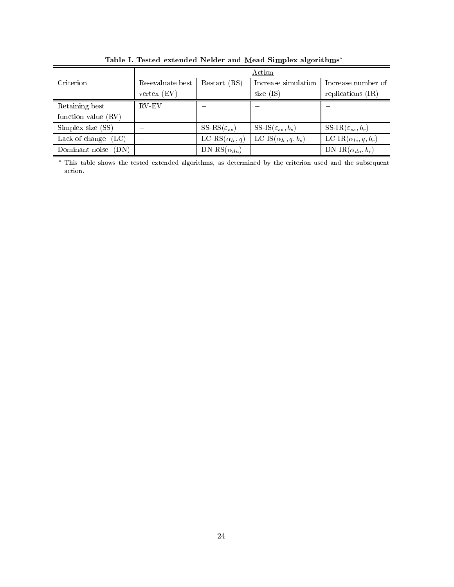|                        | Action           |                            |                                |                                  |  |  |  |
|------------------------|------------------|----------------------------|--------------------------------|----------------------------------|--|--|--|
| Criterion              | Re-evaluate best | Restart (RS)               | Increase simulation            | Increase number of               |  |  |  |
|                        | vertex (EV)      |                            | size $(IS)$                    | replications $(IR)$              |  |  |  |
| Retaining best         | <b>RV-EV</b>     |                            |                                |                                  |  |  |  |
| function value (RV)    |                  |                            |                                |                                  |  |  |  |
| Simplex size (SS)      |                  | SS-RS $(\varepsilon_{ss})$ | SS-IS $(\varepsilon_{ss},b_s)$ | SS-IR( $\varepsilon_{ss}, b_r$ ) |  |  |  |
| Lack of change<br>(LC) |                  | LC-RS $(\alpha_{lc}, q)$   | LC-IS $(\alpha_{lc}, q, b_s)$  | LC-IR $(\alpha_{lc}, q, b_r)$    |  |  |  |
| Dominant noise<br>(DN) |                  | $DN-RS(\alpha_{dn})$       |                                | DN-IR $(\alpha_{dn},b_r)$        |  |  |  |

Table I. Tested extended Nelder and Mead Simplex algorithms

 This table shows the tested extended algorithms, as determined by the criterion used and the subsequent action.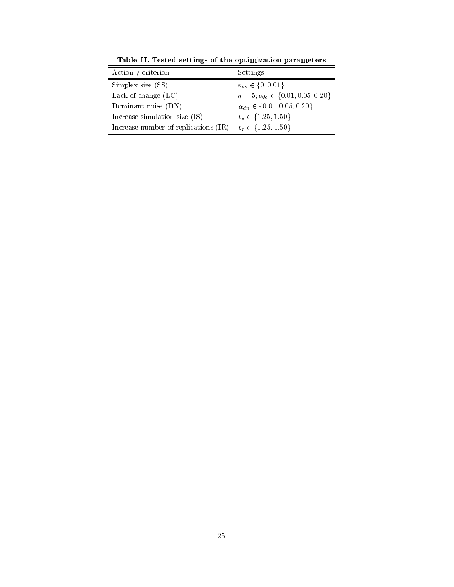| Action / criterion                     | Settings                                                           |
|----------------------------------------|--------------------------------------------------------------------|
| Simplex size (SS)                      | $\varepsilon_{ss} \in \{0, 0.01\}$                                 |
| Lack of change $(LC)$                  | $q = 5; \alpha_{lc} \in \{0.01, 0.05, 0.20\}$                      |
| Dominant noise (DN)                    | $\alpha_{dn} \in \{0.01, 0.05, 0.20\}$<br>$b_s \in \{1.25, 1.50\}$ |
| Increase simulation size $(IS)$        |                                                                    |
| Increase number of replications $(IR)$ | $b_r \in \{1.25, 1.50\}$                                           |

Table II. Tested settings of the optimization parameters

ċ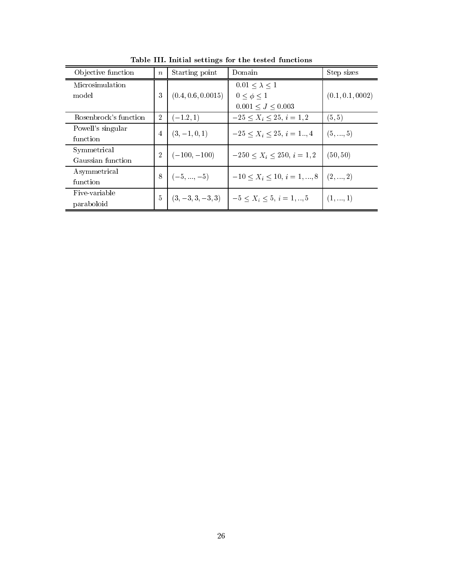| Objective function               | $\boldsymbol{n}$ | Starting point      | Domain                                                      | Step sizes       |
|----------------------------------|------------------|---------------------|-------------------------------------------------------------|------------------|
| Microsimulation<br>model         | 3                | (0.4, 0.6, 0.0015)  | $0.01 < \lambda < 1$<br>$0 < \phi < 1$<br>0.001 < J < 0.003 | (0.1, 0.1, 0002) |
| Rosenbrock's function            | $\overline{2}$   | $(-1.2,1)$          | $-25 \le X_i \le 25, i = 1,2$                               | (5, 5)           |
| Powell's singular<br>function    | $\overline{4}$   | $(3, -1, 0, 1)$     | $-25 < X_i < 25, i = 1, 4$                                  | (5, , 5)         |
| Symmetrical<br>Gaussian function | $\overline{2}$   | $(-100, -100)$      | $-250 < X_i < 250, i = 1,2$                                 | (50, 50)         |
| Asymmetrical<br>function         | 8                | $(-5, \ldots, -5)$  | $-10 < X_i < 10, i = 1, , 8$ (2, , 2)                       |                  |
| Five-variable<br>paraboloid      | $\frac{5}{2}$    | $(3, -3, 3, -3, 3)$ | $-5 < X_i < 5, i = 1, , 5$                                  | (1, , 1)         |

Table III. Initial settings for the tested functions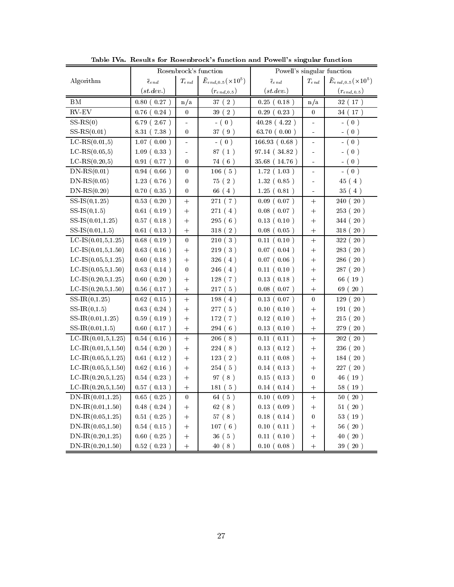|                            | Rosenbrock's function  |                          | Powell's singular function       |                             |                       |                            |
|----------------------------|------------------------|--------------------------|----------------------------------|-----------------------------|-----------------------|----------------------------|
| Algorithm                  | $\bar{\epsilon}_{end}$ | $\mathcal{T}_{end}$      | $\bar{E}_{end,0.5}(\times 10^5)$ | $\overline{\epsilon}_{end}$ | $T_{end}$             | $\bar{E}_{end,0.5}(x10^5)$ |
|                            | (st.dev.)              |                          | $(r_{end,0.5})$                  | (st.dev.)                   |                       | $(r_{end, 0.5})$           |
| ΒM                         | 0.80(0.27)             | n/a                      | 37(2)                            | $0.25$ ( $0.18$ )           | n/a                   | 32(17)                     |
| $RV$ -EV                   | 0.76<br>$0.24$ )       | 0                        | 39(2)                            | 0.29(<br>0.23)              | $\boldsymbol{0}$      | 34 (17)                    |
| $SS-RS(0)$                 | 6.79(2.67)             | $\overline{\phantom{a}}$ | $-$ (0)                          | 40.28(4.22)                 | $\blacksquare$        | $- ( 0 )$                  |
| $SS-RS(0.01)$              | 8.31 (7.38)            | $\boldsymbol{0}$         | 37 (9)                           | 63.70 (0.00)                | $\tilde{\phantom{a}}$ | $- ( 0 )$                  |
| $LC-RS(0.01,5)$            | $1.07$ (<br>0.00)      | $\frac{1}{2}$            | 0)<br>$-$ (                      | 166.93(0.68)                | $\blacksquare$        | 0)                         |
| $LC-RS(0.05,5)$            | 1.09(0.33)             | $\blacksquare$           | 87(1)                            | 97.14 (34.82)               | $\blacksquare$        | $- ( 0 )$                  |
| $LC-RS(0.20,5)$            | 0.91(0.77)             | $\bf{0}$                 | 74 (6)                           | 35.68 (14.76)               | $\blacksquare$        | $- ( 0 )$                  |
| $DN-RS(0.01)$              | 0.94(0.66)             | $\boldsymbol{0}$         | 106(5)                           | 1.72(1.03)                  | $\equiv$              | $-$ (0)                    |
| $DN-RS(0.05)$              | 1.23(0.76)             | $\boldsymbol{0}$         | 75(2)                            | 1.32(0.85)                  | $\ddot{\phantom{1}}$  | 45(4)                      |
| $DN-RS(0.20)$              | 0.70(0.35)             | 0                        | 66 (4)                           | 1.25(0.81)                  | ä,                    | 35(4)                      |
| $SS-IS(0,1.25)$            | 0.53(0.20)             | $\qquad \qquad +$        | 271(7)                           | $0.09$ ( $0.07$ )           | $^{+}$                | 20)<br>240 (               |
| $SS-IS(0,1.5)$             | 0.61(0.19)             | $\ddot{}$                | 271 (4)                          | $0.08$ ( $0.07$ )           | $^{+}$                | 253(20)                    |
| $SS-IS(0.01, 1.25)$        | $0.57$ ( $0.18$ )      | $^{+}$                   | 295(6)                           | 0.13(0.10)                  | $^{+}$                | 344 (20)                   |
| $SS-IS(0.01, 1.5)$         | 0.61(0.13)             | $^{+}$                   | 318 (2)                          | 0.08(0.05)                  | $^{+}$                | 318 (20)                   |
| LC-IS $(0.01, 5, 1.25)$    | 0.68(0.19)             | $\overline{0}$           | 210(3)                           | 0.11(0.10)                  | $\ddot{}$             | 322(20)                    |
| $LC-IS(0.01, 5, 1.50)$     | 0.63(0.16)             | $^{+}$                   | 219(3)                           | $0.07$ ( $0.04$ )           | $\ddot{}$             | 283(20)                    |
| $LC-IS(0.05, 5, 1.25)$     | 0.60(0.18)             | $^{+}$                   | 326(4)                           | $0.07$ ( $0.06$ )           | $^{+}$                | 286 (20)                   |
| LC-IS $(0.05, 5, 1.50)$    | 0.63(0.14)             | $\theta$                 | 246 (4)                          | 0.11(0.10)                  | $^{+}$                | 287 (20)                   |
| LC-IS $(0.20, 5, 1.25)$    | 0.60(0.20)             | $^{+}$                   | 128(7)                           | 0.13(0.18)                  | $^{+}$                | 66 (19)                    |
| $LC-IS(0.20, 5, 1.50)$     | 0.56(0.17)             | $^{+}$                   | 217(5)                           | 0.08(0.07)                  | $^{+}$                | 69 (20)                    |
| $SS-IR(0,1.25)$            | $0.62$ ( $0.15$ )      | $^{+}$                   | 198(4)                           | 0.13(0.07)                  | $\boldsymbol{0}$      | 20)<br>129 (               |
| $SS-IR(0,1.5)$             | 0.63(0.24)             | $^{+}$                   | 277(5)                           | 0.10(0.10)                  | $^{+}$                | 191(20)                    |
| $SS-IR(0.01, 1.25)$        | 0.59(0.19)             | $+$                      | 172(7)                           | $0.12$ ( $0.10$ )           | $+$                   | 215 (20)                   |
| $SS-IR(0.01, 1.5)$         | 0.60(0.17)             | $^{+}$                   | 294(6)                           | 0.13(0.10)                  | $+$                   | 279 (20)                   |
| $LC-IR(0.01,5,1.25)$       | 0.54(0.16)             | $\ddot{}$                | 206(8)                           | 0.11(0.11)                  | $\ddot{}$             | 202(20)                    |
| $LC-IR(0.01, 5, 1.50)$     | 0.54(0.20)             | $+$                      | 224(8)                           | 0.13(0.12)                  | $^{+}$                | 236 (20)                   |
| LC-IR $(0.05, 5, 1.25)$    | 0.61(0.12)             | $+$                      | 123(2)                           | 0.11(0.08)                  | $\ddot{}$             | 184(20)                    |
| LC-IR $(0.05, 5, 1.50)$    | $0.62$ (0.16)          | $+$                      | 254(5)                           | $0.14$ ( $0.13$ )           | $^{+}$                | 227(20)                    |
| LC-IR $(0.20, 5, 1.25)$    | 0.54(0.23)             | $^{+}$                   | 97(8)                            | $0.15$ ( $0.13$ )           | $\boldsymbol{0}$      | 46 (19)                    |
| LC-IR $(0.20, 5, 1.50)$    | $0.57$ ( $0.13$ )      | $^{+}$                   | 181(5)                           | 0.14(0.14)                  | $^{+}$                | 58 (19)                    |
| $DN\text{-}IR(0.01, 1.25)$ | 0.65(0.25)             | $\boldsymbol{0}$         | 64(5)                            | 0.10(0.09)                  | $^{+}$                | 50(20)                     |
| $DN$ -IR $(0.01, 1.50)$    | 0.48(0.24)             | $^{+}$                   | 62(8)                            | 0.13(0.09)                  | $^{+}$                | 51(20)                     |
| $DN$ -IR $(0.05, 1.25)$    | 0.51(0.25)             | $^{+}$                   | 57(8)                            | $0.18$ ( $0.14$ )           | $\boldsymbol{0}$      | 53(19)                     |
| $DN$ -IR $(0.05, 1.50)$    | 0.54(0.15)             | $^{+}$                   | 107(6)                           | 0.10(0.11)                  | $^{+}$                | 56(20)                     |
| $DN$ -IR $(0.20, 1.25)$    | 0.60(0.25)             | $\ddot{}$                | 36(5)                            | 0.11(0.10)                  | $\ddot{}$             | 20)<br>40 (                |
| $DN$ -IR $(0.20, 1.50)$    | 0.52(0.23)             | $\ddot{}$                | 40(8)                            | 0.10(0.08)                  | $\ddot{}$             | 39 (20)                    |

Table IVa. Results for Rosenbrock's function and Powell's singular function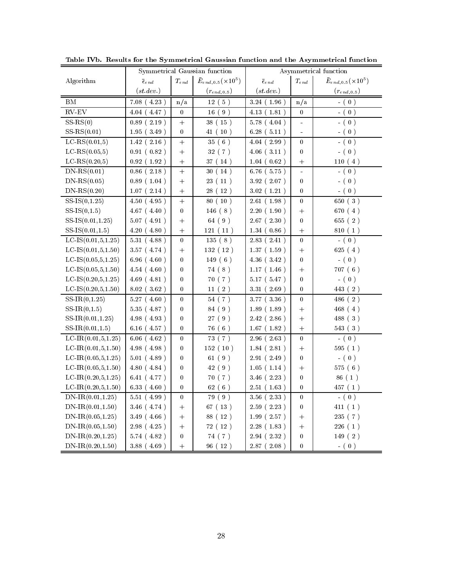|                         | Symmetrical Gaussian function |                           | Asymmetrical function      |                        |                  |                                   |
|-------------------------|-------------------------------|---------------------------|----------------------------|------------------------|------------------|-----------------------------------|
| Algorithm               | $\bar{\epsilon}_{end}$        | $\mathcal{T}_{e\, n\, d}$ | $\bar{E}_{end,0.5}(x10^5)$ | $\bar{\epsilon}_{end}$ | $T_{end}$        | $\bar{E}_{end,0.5}( \times 10^5)$ |
|                         | (st.dev.)                     |                           | $(r_{e\,nd,0.5})$          | (st.dev.)              |                  | $(r_{end,0.5})$                   |
| ΒM                      | 7.08(<br>4.23)                | n/a                       | 12(5)                      | 3.24(1.96)             | n/a              | $-$ (0)                           |
| $RV$ -EV                | 4.47)<br>4.04                 | $\boldsymbol{0}$          | 16(9)                      | 4.13(1.81)             | $\boldsymbol{0}$ | $- ( 0 )$                         |
| $SS-RS(0)$              | 0.89(2.19)                    | $\ddot{}$                 | 38 (15)                    | 5.78(4.04)             | L,               | $-$ (0)                           |
| $SS-RS(0.01)$           | 1.95(3.49)                    | $\boldsymbol{0}$          | 41(10)                     | 6.28(5.11)             | $\overline{a}$   | $-$ (0)                           |
| $LC-RS(0.01,5)$         | $1.42$ (<br>2.16)             | $\qquad \qquad +$         | 35(6)                      | 4.04(2.99)             | 0                | $- ( 0 )$                         |
| $LC-RS(0.05,5)$         | 0.91(0.82)                    | $+$                       | 32(7)                      | $4.06$ ( $3.11$ )      | $\boldsymbol{0}$ | $- ( 0 )$                         |
| $LC-RS(0.20,5)$         | 0.92(1.92)                    | $^+$                      | 37 (14)                    | 1.04(0.62)             | $^{+}$           | 110(4)                            |
| $DN-RS(0.01)$           | $0.86$ (2.18)                 | $^{+}$                    | 30(14)                     | $6.76$ (5.75)          | ÷                | $-$ (0)                           |
| $DN-RS(0.05)$           | 0.89(1.04)                    | $^{+}$                    | 23(11)                     | 3.92(2.07)             | $\theta$         | $- ( 0 )$                         |
| $DN-RS(0.20)$           | $1.07$ ( $2.14$ )             | $+$                       | 28(12)                     | 3.02(1.21)             | 0                | $-$ (0)                           |
| $SS-IS(0,1.25)$         | 4.50(4.95)                    | $^{+}$                    | 80 (10)                    | 2.61(1.98)             | 0                | 650(3)                            |
| $SS-IS(0,1.5)$          | $4.67$ ( $4.40$ )             | $\boldsymbol{0}$          | 146(8)                     | 2.20(1.90)             | $+$              | 670(4)                            |
| $SS-IS(0.01, 1.25)$     | 5.07(4.91)                    | $^{+}$                    | 64 (9)                     | 2.67(2.30)             | $\overline{0}$   | 655 (2)                           |
| $SS-IS(0.01, 1.5)$      | 4.20(4.80)                    | $+$                       | 121(11)                    | 1.34(0.86)             | $^{+}$           | 810 (1)                           |
| LC-IS $(0.01, 5, 1.25)$ | 5.31(4.88)                    | $\boldsymbol{0}$          | 135(8)                     | 2.83(2.41)             | $\overline{0}$   | $-$ (0)                           |
| LC-IS $(0.01, 5, 1.50)$ | 3.57(4.74)                    | $^{+}$                    | 132 (12)                   | 1.37(1.59)             | $^{+}$           | 625(4)                            |
| LC-IS $(0.05, 5, 1.25)$ | 6.96(4.60)                    | $\theta$                  | 149(6)                     | $4.36$ ( $3.42$ )      | 0                | $-$ (0)                           |
| LC-IS $(0.05, 5, 1.50)$ | 4.54(4.60)                    | 0                         | 74(8)                      | 1.17(1.46)             | $^{+}$           | 707(6)                            |
| LC-IS $(0.20, 5, 1.25)$ | 4.69(4.81)                    | 0                         | 70(7)                      | 5.17(5.47)             | 0                | $-$ (0)                           |
| $LC-IS(0.20, 5, 1.50)$  | 8.02(3.62)                    | $\bf{0}$                  | 11(2)                      | 3.31(2.69)             | 0                | 443 (2)                           |
| $SS-IR(0,1.25)$         | 5.27(4.60)                    | 0                         | 54(7)                      | 3.77 (3.36)            | $\boldsymbol{0}$ | 486(2)                            |
| $SS-IR(0,1.5)$          | 5.35(4.87)                    | $\bf{0}$                  | 84 (9)                     | 1.89(1.89)             | $^{+}$           | 468(4)                            |
| $SS-IR(0.01, 1.25)$     | 4.98(4.93)                    | $\bf{0}$                  | 27(9)                      | 2.42(2.86)             | $^{+}$           | 488 (3)                           |
| $SS-IR(0.01, 1.5)$      | $6.16$ (4.57)                 | $\bf{0}$                  | 76(6)                      | $1.67$ ( $1.82$ )      | $\ddot{}$        | 543(3)                            |
| LC-IR $(0.01, 5, 1.25)$ | 6.06(4.62)                    | $\bf{0}$                  | 73 (7)                     | 2.96(2.63)             | $\boldsymbol{0}$ | $- ( 0 )$                         |
| LC-IR $(0.01, 5, 1.50)$ | 4.98 (4.98)                   | 0                         | 152(10)                    | 1.84(2.81)             | $\ddot{}$        | 595(1)                            |
| LC-IR $(0.05, 5, 1.25)$ | 5.01(4.89)                    | 0                         | 61(9)                      | 2.91(2.49)             | $\theta$         | $-$ (0)                           |
| LC-IR $(0.05, 5, 1.50)$ | 4.80(4.84)                    | $\pmb{0}$                 | 42 (9)                     | 1.05(1.14)             | $+$              | 575(6)                            |
| LC-IR $(0.20, 5, 1.25)$ | 6.41 (4.77)                   | 0                         | 70(7)                      | 3.46(2.23)             | $\theta$         | 86 (1)                            |
| LC-IR $(0.20, 5, 1.50)$ | 6.33(4.60)                    | 0                         | 62(6)                      | 2.51(1.63)             | 0                | 457(1)                            |
| $DN$ -IR $(0.01, 1.25)$ | 5.51(4.99)                    | 0                         | 79 (9)                     | 3.56(2.33)             | 0                | $- ( 0 )$                         |
| $DN$ -IR $(0.01, 1.50)$ | $3.46$ (4.74)                 | $^{+}$                    | 67 (13)                    | 2.59(2.23)             | 0                | 411 (1)                           |
| $DN$ -IR $(0.05, 1.25)$ | 3.49(4.66)                    | $+$                       | 88 (12)                    | 1.99(2.57)             | $^{+}$           | 235 (7)                           |
| $DN$ -IR $(0.05, 1.50)$ | 2.98(4.25)                    | $+$                       | 72(12)                     | 2.28(1.83)             | $+$              | 226(1)                            |
| $DN$ -IR $(0.20, 1.25)$ | 5.74 (4.82)                   | $\boldsymbol{0}$          | 74 (7)                     | 2.94(2.32)             | $\boldsymbol{0}$ | 149(2)                            |
| $DN$ -IR $(0.20, 1.50)$ | 3.88 (4.69)                   | $^{+}$                    | 96(12)                     | 2.87(2.08)             | $\boldsymbol{0}$ | $- ( 0 )$                         |

Table IVb. Results for the Symmetrical Gaussian function and the Asymmetrical function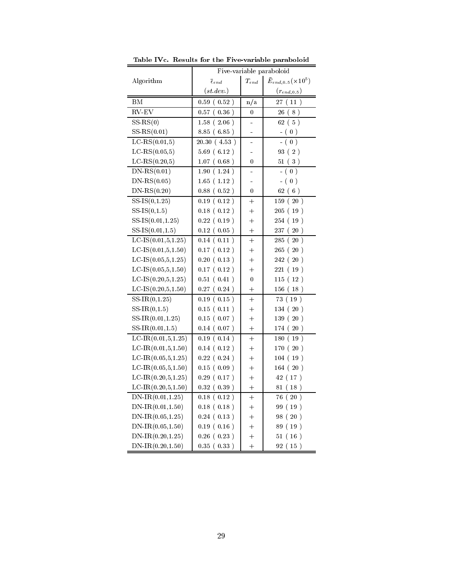|                           | Five-variable paraboloid     |                                  |                                   |  |  |
|---------------------------|------------------------------|----------------------------------|-----------------------------------|--|--|
| Algorithm                 | $\bar{\epsilon}_{e\, n\, d}$ | $T_{end}$                        | $\bar{E}_{end,0.5}( \times 10^5)$ |  |  |
|                           | (st.dev.)                    |                                  | $(r_{end,0.5})$                   |  |  |
| ΒM                        | $0.59$ ( $0.52$ )            | n/a                              | 27(11)                            |  |  |
| $RV$ -EV                  | 0.36)<br>0.57 (              | 0                                | 26<br>8)                          |  |  |
| $SS-RS(0)$                | 1.58(2.06)                   |                                  | 62(5)                             |  |  |
| $SS-RS(0.01)$             | 8.85 (6.85)                  | -                                | - ( $0$ )                         |  |  |
| $LC-RS(0.01,5)$           | 20.30(4.53)                  |                                  | (0)                               |  |  |
| $LC$ -RS $(0.05, 5)$      | 5.69(6.12)                   |                                  | 93 (2)                            |  |  |
| $LC-RS(0.20,5)$           | $1.07$ ( $0.68$ )            | 0                                | 51(3)                             |  |  |
| $DN-RS(0.01)$             | 1.90(1.24)                   | -                                | $-(0)$                            |  |  |
| $DN-RS(0.05)$             | 1.65(1.12)                   | ÷                                | $- ( 0 )$                         |  |  |
| $DN$ -RS $(0.20)$         | $0.88$ ( $0.52$ )            | 0                                | 62(6)                             |  |  |
| $SS-IS(0,1.25)$           | 0.19(0.12)                   | $+$                              | 159 (20)                          |  |  |
| $SS-IS(0,1.5)$            | $0.18$ ( $0.12$ )            | $^+$                             | 205(19)                           |  |  |
| $SS-IS(0.01, 1.25)$       | $0.22$ ( $0.19$ )            | $^{+}$                           | 254 (19)                          |  |  |
| $SS-IS(0.01, 1.5)$        | $0.12$ ( $0.05$ )            | $\hspace{0.1mm} +$               | 237 (20)                          |  |  |
| $LC-IS(0.01,5,1.25)$      | 0.14(0.11)                   | $\hspace{0.1mm} +$               | 285(20)                           |  |  |
| LC-IS $(0.01, 5, 1.50)$   | $0.17$ ( $0.12$ )            | $^{+}$                           | 265 (20)                          |  |  |
| $LC-IS(0.05, 5, 1.25)$    | 0.20(0.13)                   | $\hspace{0.1mm} +$               | 242(20)                           |  |  |
| $LC-IS(0.05, 5, 1.50)$    | $0.17$ ( $0.12$ )            | $^{+}$                           | 221(19)                           |  |  |
| $LC-IS(0.20,5,1.25)$      | 0.51(0.41)                   | 0                                | 115(12)                           |  |  |
| LC-IS $(0.20, 5, 1.50)$   | $0.27$ ( $0.24$ )            | $\hspace{0.1mm} +\hspace{0.1mm}$ | 156 (18)                          |  |  |
| $SS-IR(0,1.25)$           | $0.19$ ( $0.15$ )            | $+$                              | 73 (19)                           |  |  |
| $SS-IR(0,1.5)$            | $0.15$ ( $0.11$ )            | $^{+}$                           | 134(20)                           |  |  |
| $SS-IR(0.01, 1.25)$       | $0.15$ ( $0.07$ )            | $\hspace{0.1mm} +$               | 139(20)                           |  |  |
| $SS\text{-}IR(0.01, 1.5)$ | 0.14(0.07)                   | $^{+}$                           | 174 (20)                          |  |  |
| $LC-IR(0.01,5,1.25)$      | 0.19(0.14)                   | $^{+}$                           | 180(19)                           |  |  |
| $LC-IR(0.01,5,1.50)$      | 0.14(0.12)                   | $\hspace{0.1mm} +$               | 170(20)                           |  |  |
| $LC-IR(0.05,5,1.25)$      | $0.22$ ( $0.24$ )            | $^{+}$                           | 104(19)                           |  |  |
| $LC-IR(0.05,5,1.50)$      | 0.15(0.09)                   | $\hspace{0.1mm} +$               | 164(20)                           |  |  |
| LC-IR $(0.20, 5, 1.25)$   | $0.29$ ( $0.17$ )            | $^{+}$                           | 42 (17)                           |  |  |
| LC-IR $(0.20, 5, 1.50)$   | 0.32(0.39)                   | $^{+}$                           | 81 (18)                           |  |  |
| $DN$ -IR $(0.01, 1.25)$   | 0.18(0.12)                   | $^{+}$                           | 76 (20)                           |  |  |
| $DN-IR(0.01, 1.50)$       | $0.18$ ( $0.18$ )            | $\hspace{0.1mm} +\hspace{0.1mm}$ | 99 (19)                           |  |  |
| $DN$ -IR $(0.05, 1.25)$   | $0.24$ ( $0.13$ )            | $\hspace{0.1mm} +$               | 98(20)                            |  |  |
| $DN$ -IR $(0.05, 1.50)$   | $0.19$ ( $0.16$ )            | $^+$                             | 89 (19)                           |  |  |
| $DN$ -IR $(0.20, 1.25)$   | $0.26$ ( $0.23$ )            | $^{+}$                           | 51(16)                            |  |  |
| $DN$ -IR $(0.20, 1.50)$   | 0.35(0.33)                   | $^{+}$                           | 92(15)                            |  |  |

Table IVc. Results for the Five-variable paraboloid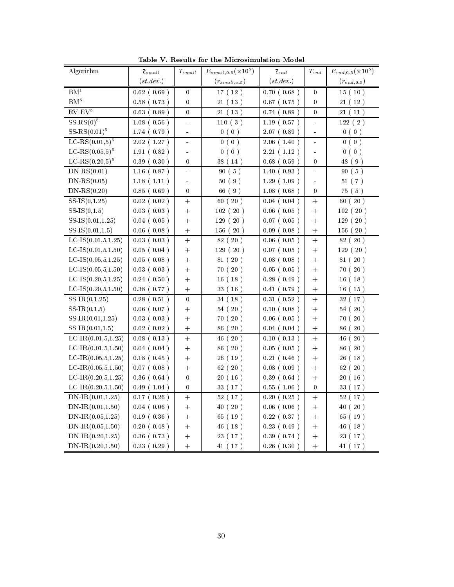| Algorithm               | $\bar{\epsilon}_{small}$ | $T_{small}$      | $\bar{E}_{small,0.5}(\times10^5)$ | $\bar{\epsilon}_{e\, n\, d}$ | $T_{end}$        | $\bar{E}_{end,0.5}(\times10^5)$ |
|-------------------------|--------------------------|------------------|-----------------------------------|------------------------------|------------------|---------------------------------|
|                         | (st. dev.)               |                  | $(r_{small,o.5})$                 | (st. dev.)                   |                  | $(r_{end,0.5})$                 |
| BM <sup>1</sup>         | $0.62$ (0.69)            | $\boldsymbol{0}$ | 17(12)                            | 0.70(0.68)                   | 0                | 15(10)                          |
| BM <sup>5</sup>         | 0.58(0.73)               | $\boldsymbol{0}$ | 21(13)                            | $0.67$ ( $0.75$ )            | 0                | 21(12)                          |
| $RV$ - $EV5$            | 0.63(0.89)               | $\boldsymbol{0}$ | 21(13)                            | 0.74(0.89)                   | $\overline{0}$   | 21(11)                          |
| $SS$ -RS $(0)^5$        | 1.08(0.56)               | $\blacksquare$   | 110(3)                            | 1.19(0.57)                   | ÷,               | 122(2)                          |
| $SS-RS(0.01)^5$         | 1.74(0.79)               | ÷                | 0(0)                              | 2.07(0.89)                   | L,               | 0(0)                            |
| $LC-RS(0.01,5)^5$       | 2.02(1.27)               | $\blacksquare$   | 0(0)                              | 2.06(1.40)                   | L,               | 0(0)                            |
| LC-RS $(0.05,5)^5$      | 1.91(0.82)               | $\blacksquare$   | 0(0)                              | 2.21(1.12)                   | ÷                | 0(0)                            |
| $LC-RS(0.20,5)^5$       | 0.39(0.30)               | $\boldsymbol{0}$ | 38 (14)                           | $0.68$ ( $0.59$ )            | $\boldsymbol{0}$ | 48 (9)                          |
| $DN-RS(0.01)$           | 1.16(0.87)               | $\blacksquare$   | 90(5)                             | 1.40(0.93)                   |                  | 90(5)                           |
| $DN-RS(0.05)$           | 1.18(1.11)               | ÷,               | 50(9)                             | 1.29(1.09)                   | L,               | 51(7)                           |
| $DN-RS(0.20)$           | 0.85(0.69)               | $\boldsymbol{0}$ | 66 (9)                            | 1.08(0.68)                   | $\theta$         | 75 (5)                          |
| $SS-IS(0,1.25)$         | $0.02$ (0.02)            | $^{+}$           | 60(20)                            | 0.04(0.04)                   | $^{+}$           | 60(20)                          |
| $SS-IS(0,1.5)$          | 0.03(0.03)               | $^{+}$           | 102(20)                           | $0.06$ ( $0.05$ )            | $^{+}$           | 102(20)                         |
| $SS-IS(0.01, 1.25)$     | 0.04(0.05)               | $^{+}$           | 129(20)                           | $0.07$ ( $0.05$ )            | $+$              | 129(20)                         |
| $SS-IS(0.01, 1.5)$      | $0.06$ (0.08)            |                  | 156(20)                           | 0.09(0.08)                   | $\ddot{}$        | 156(20)                         |
| LC-IS $(0.01, 5, 1.25)$ | 0.03(0.03)               |                  | 82 (20)                           | 0.06(0.05)                   | $\ddot{}$        | 82(20)                          |
| LC-IS $(0.01, 5, 1.50)$ | 0.05(0.04)               | $^{+}$           | 129(20)                           | $0.07$ ( $0.05$ )            | $^{+}$           | 129(20)                         |
| $LC-IS(0.05, 5, 1.25)$  | $0.05$ (0.08)            | $^{+}$           | 81 (20)                           | $0.08$ ( $0.08$ )            | $+$              | 81 (20)                         |
| $LC-IS(0.05, 5, 1.50)$  | 0.03(0.03)               | $^{+}$           | 70 (20)                           | $0.05$ ( $0.05$ )            | $^{+}$           | 70(20)                          |
| LC-IS $(0.20, 5, 1.25)$ | 0.24(0.50)               | $\! + \!$        | 16(18)                            | 0.28(0.49)                   | $\ddot{}$        | 16(18)                          |
| LC-IS $(0.20, 5, 1.50)$ | 0.38(0.77)               | $\! + \!$        | 33 (16)                           | 0.41(0.79)                   | $\ddot{}$        | 16 (15)                         |
| $SS-IR(0,1.25)$         | $0.28$ (<br>0.51)        | $\boldsymbol{0}$ | 34(18)                            | 0.31(0.52)                   | $\ddot{}$        | 32 (17)                         |
| $SS-IR(0,1.5)$          | $0.06$ (0.07)            | $^{+}$           | 54(20)                            | 0.10(0.08)                   | $^{+}$           | 54(20)                          |
| $SS-IR(0.01, 1.25)$     | 0.03(0.03)               | $^{+}$           | 70 (20)                           | $0.06$ ( $0.05$ )            | $^{+}$           | 70 (20)                         |
| $SS-IR(0.01, 1.5)$      | $0.02$ (0.02)            | $\! + \!$        | 86 (20)                           | 0.04(0.04)                   | $^{+}$           | 86 (20)                         |
| $LC-IR(0.01,5,1.25)$    | $0.08$ (0.13)            | $\! + \!$        | 46 (20)                           | 0.10(0.13)                   | $\ddot{}$        | 46(20)                          |
| LC-IR $(0.01, 5, 1.50)$ | 0.04(0.04)               | $^{+}$           | 86 (20)                           | $0.05$ ( $0.05$ )            | $\ddot{}$        | 86 (20)                         |
| LC-IR $(0.05, 5, 1.25)$ | $0.18$ (0.45)            | $^{+}$           | 26 (19)                           | 0.21(0.46)                   | $+$              | 26 (18)                         |
| LC-IR $(0.05, 5, 1.50)$ | $0.07$ (0.08)            | $^{+}$           | 62(20)                            | 0.08(0.09)                   | $^{+}$           | 62(20)                          |
| LC-IR $(0.20, 5, 1.25)$ | $0.36$ ( $0.64$ )        | $\boldsymbol{0}$ | 20(16)                            | 0.39(0.64)                   | $^{+}$           | 20(16)                          |
| LC-IR $(0.20, 5, 1.50)$ | 0.49(1.04)               | $\boldsymbol{0}$ | 33 (17)                           | 0.55(1.06)                   | $\boldsymbol{0}$ | 33 (17)                         |
| $DN$ -IR $(0.01, 1.25)$ | $0.17$ ( $0.26$ )        | $^{+}$           | 52 (<br>17)                       | 0.20(0.25)                   | $^{+}$           | 52(17)                          |
| $DN$ -IR $(0.01, 1.50)$ | 0.04(0.06)               | $^{+}$           | 40 (20)                           | $0.06$ ( $0.06$ )            | $^{+}$           | 40(20)                          |
| $DN$ -IR $(0.05, 1.25)$ | 0.19(0.36)               | $^{+}$           | 65 (19)                           | $0.22$ ( $0.37$ )            | $^{+}$           | 65 (19)                         |
| $DN$ -IR $(0.05, 1.50)$ | 0.20(0.48)               | $^{+}$           | 46 (18)                           | 0.23(0.49)                   | $^{+}$           | 46 (18)                         |
| $DN$ -IR $(0.20, 1.25)$ | $0.36$ ( $0.73$ )        | $\! + \!$        | 23 ( 17 )                         | 0.39(0.74)                   | $\ddot{}$        | 23 (17)                         |
| $DN$ -IR $(0.20, 1.50)$ | 0.23(0.29)               | $\ddot{}$        | 41(17)                            | 0.26(0.30)                   | $\ddot{}$        | 41 (17)                         |

Table V. Results for the Microsimulation Model